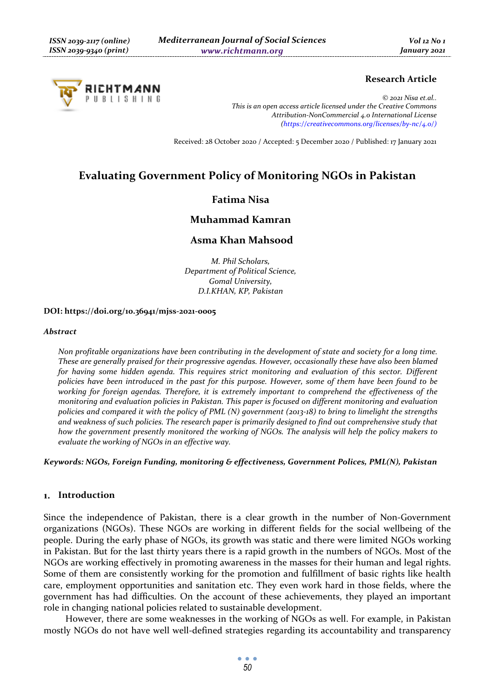

### **Research Article**

*© 2021 Nisa et.al.. This is an open access article licensed under the Creative Commons Attribution-NonCommercial 4.0 International License (https://creativecommons.org/licenses/by-nc/4.0/)*

Received: 28 October 2020 / Accepted: 5 December 2020 / Published: 17 January 2021

# **Evaluating Government Policy of Monitoring NGOs in Pakistan**

# **Fatima Nisa**

# **Muhammad Kamran**

# **Asma Khan Mahsood**

*M. Phil Scholars, Department of Political Science, Gomal University, D.I.KHAN, KP, Pakistan* 

#### **DOI: https://doi.org/10.36941/mjss-2021-0005**

#### *Abstract*

*Non profitable organizations have been contributing in the development of state and society for a long time. These are generally praised for their progressive agendas. However, occasionally these have also been blamed*  for having some hidden agenda. This requires strict monitoring and evaluation of this sector. Different *policies have been introduced in the past for this purpose. However, some of them have been found to be working for foreign agendas. Therefore, it is extremely important to comprehend the effectiveness of the monitoring and evaluation policies in Pakistan. This paper is focused on different monitoring and evaluation policies and compared it with the policy of PML (N) government (2013-18) to bring to limelight the strengths and weakness of such policies. The research paper is primarily designed to find out comprehensive study that how the government presently monitored the working of NGOs. The analysis will help the policy makers to evaluate the working of NGOs in an effective way.* 

*Keywords: NGOs, Foreign Funding, monitoring & effectiveness, Government Polices, PML(N), Pakistan* 

#### **Introduction**

Since the independence of Pakistan, there is a clear growth in the number of Non-Government organizations (NGOs). These NGOs are working in different fields for the social wellbeing of the people. During the early phase of NGOs, its growth was static and there were limited NGOs working in Pakistan. But for the last thirty years there is a rapid growth in the numbers of NGOs. Most of the NGOs are working effectively in promoting awareness in the masses for their human and legal rights. Some of them are consistently working for the promotion and fulfillment of basic rights like health care, employment opportunities and sanitation etc. They even work hard in those fields, where the government has had difficulties. On the account of these achievements, they played an important role in changing national policies related to sustainable development.

However, there are some weaknesses in the working of NGOs as well. For example, in Pakistan mostly NGOs do not have well well-defined strategies regarding its accountability and transparency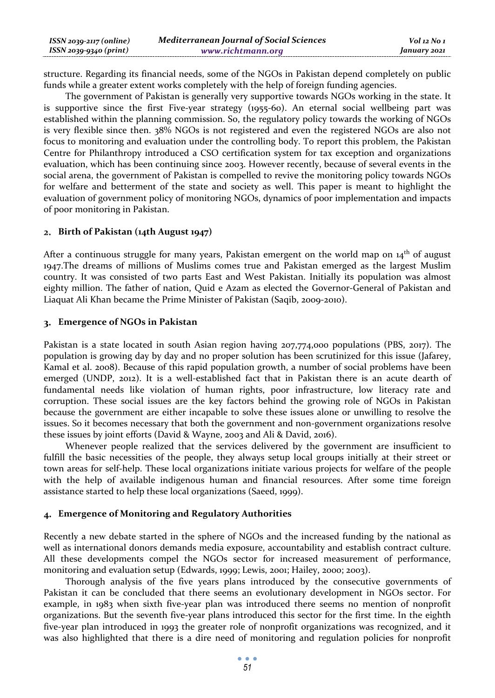| $ISSN 2039-2117 (online)$ | <b>Mediterranean Journal of Social Sciences</b> | Vol 12 No 1  |
|---------------------------|-------------------------------------------------|--------------|
| ISSN 2039-9340 (print)    | www.richtmann.org                               | January 2021 |

structure. Regarding its financial needs, some of the NGOs in Pakistan depend completely on public funds while a greater extent works completely with the help of foreign funding agencies.

The government of Pakistan is generally very supportive towards NGOs working in the state. It is supportive since the first Five-year strategy (1955-60). An eternal social wellbeing part was established within the planning commission. So, the regulatory policy towards the working of NGOs is very flexible since then. 38% NGOs is not registered and even the registered NGOs are also not focus to monitoring and evaluation under the controlling body. To report this problem, the Pakistan Centre for Philanthropy introduced a CSO certification system for tax exception and organizations evaluation, which has been continuing since 2003. However recently, because of several events in the social arena, the government of Pakistan is compelled to revive the monitoring policy towards NGOs for welfare and betterment of the state and society as well. This paper is meant to highlight the evaluation of government policy of monitoring NGOs, dynamics of poor implementation and impacts of poor monitoring in Pakistan.

#### **Birth of Pakistan (14th August 1947)**

After a continuous struggle for many years, Pakistan emergent on the world map on  $14<sup>th</sup>$  of august 1947.The dreams of millions of Muslims comes true and Pakistan emerged as the largest Muslim country. It was consisted of two parts East and West Pakistan. Initially its population was almost eighty million. The father of nation, Quid e Azam as elected the Governor-General of Pakistan and Liaquat Ali Khan became the Prime Minister of Pakistan (Saqib, 2009-2010).

### **Emergence of NGOs in Pakistan**

Pakistan is a state located in south Asian region having 207,774,000 populations (PBS, 2017). The population is growing day by day and no proper solution has been scrutinized for this issue (Jafarey, Kamal et al. 2008). Because of this rapid population growth, a number of social problems have been emerged (UNDP, 2012). It is a well-established fact that in Pakistan there is an acute dearth of fundamental needs like violation of human rights, poor infrastructure, low literacy rate and corruption. These social issues are the key factors behind the growing role of NGOs in Pakistan because the government are either incapable to solve these issues alone or unwilling to resolve the issues. So it becomes necessary that both the government and non-government organizations resolve these issues by joint efforts (David & Wayne, 2003 and Ali & David, 2016).

Whenever people realized that the services delivered by the government are insufficient to fulfill the basic necessities of the people, they always setup local groups initially at their street or town areas for self-help. These local organizations initiate various projects for welfare of the people with the help of available indigenous human and financial resources. After some time foreign assistance started to help these local organizations (Saeed, 1999).

### **Emergence of Monitoring and Regulatory Authorities**

Recently a new debate started in the sphere of NGOs and the increased funding by the national as well as international donors demands media exposure, accountability and establish contract culture. All these developments compel the NGOs sector for increased measurement of performance, monitoring and evaluation setup (Edwards, 1999; Lewis, 2001; Hailey, 2000; 2003).

Thorough analysis of the five years plans introduced by the consecutive governments of Pakistan it can be concluded that there seems an evolutionary development in NGOs sector. For example, in 1983 when sixth five-year plan was introduced there seems no mention of nonprofit organizations. But the seventh five-year plans introduced this sector for the first time. In the eighth five-year plan introduced in 1993 the greater role of nonprofit organizations was recognized, and it was also highlighted that there is a dire need of monitoring and regulation policies for nonprofit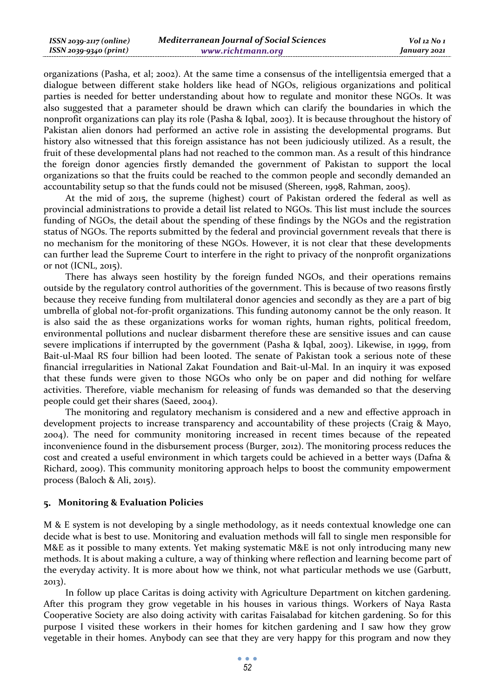organizations (Pasha, et al; 2002). At the same time a consensus of the intelligentsia emerged that a dialogue between different stake holders like head of NGOs, religious organizations and political parties is needed for better understanding about how to regulate and monitor these NGOs. It was also suggested that a parameter should be drawn which can clarify the boundaries in which the nonprofit organizations can play its role (Pasha & Iqbal, 2003). It is because throughout the history of Pakistan alien donors had performed an active role in assisting the developmental programs. But history also witnessed that this foreign assistance has not been judiciously utilized. As a result, the fruit of these developmental plans had not reached to the common man. As a result of this hindrance the foreign donor agencies firstly demanded the government of Pakistan to support the local organizations so that the fruits could be reached to the common people and secondly demanded an accountability setup so that the funds could not be misused (Shereen, 1998, Rahman, 2005).

At the mid of 2015, the supreme (highest) court of Pakistan ordered the federal as well as provincial administrations to provide a detail list related to NGOs. This list must include the sources funding of NGOs, the detail about the spending of these findings by the NGOs and the registration status of NGOs. The reports submitted by the federal and provincial government reveals that there is no mechanism for the monitoring of these NGOs. However, it is not clear that these developments can further lead the Supreme Court to interfere in the right to privacy of the nonprofit organizations or not (ICNL, 2015).

There has always seen hostility by the foreign funded NGOs, and their operations remains outside by the regulatory control authorities of the government. This is because of two reasons firstly because they receive funding from multilateral donor agencies and secondly as they are a part of big umbrella of global not-for-profit organizations. This funding autonomy cannot be the only reason. It is also said the as these organizations works for woman rights, human rights, political freedom, environmental pollutions and nuclear disbarment therefore these are sensitive issues and can cause severe implications if interrupted by the government (Pasha & Iqbal, 2003). Likewise, in 1999, from Bait-ul-Maal RS four billion had been looted. The senate of Pakistan took a serious note of these financial irregularities in National Zakat Foundation and Bait-ul-Mal. In an inquiry it was exposed that these funds were given to those NGOs who only be on paper and did nothing for welfare activities. Therefore, viable mechanism for releasing of funds was demanded so that the deserving people could get their shares (Saeed, 2004).

The monitoring and regulatory mechanism is considered and a new and effective approach in development projects to increase transparency and accountability of these projects (Craig & Mayo, 2004). The need for community monitoring increased in recent times because of the repeated inconvenience found in the disbursement process (Burger, 2012). The monitoring process reduces the cost and created a useful environment in which targets could be achieved in a better ways (Dafna & Richard, 2009). This community monitoring approach helps to boost the community empowerment process (Baloch & Ali, 2015).

#### **Monitoring & Evaluation Policies**

M & E system is not developing by a single methodology, as it needs contextual knowledge one can decide what is best to use. Monitoring and evaluation methods will fall to single men responsible for M&E as it possible to many extents. Yet making systematic M&E is not only introducing many new methods. It is about making a culture, a way of thinking where reflection and learning become part of the everyday activity. It is more about how we think, not what particular methods we use (Garbutt, 2013).

In follow up place Caritas is doing activity with Agriculture Department on kitchen gardening. After this program they grow vegetable in his houses in various things. Workers of Naya Rasta Cooperative Society are also doing activity with caritas Faisalabad for kitchen gardening. So for this purpose I visited these workers in their homes for kitchen gardening and I saw how they grow vegetable in their homes. Anybody can see that they are very happy for this program and now they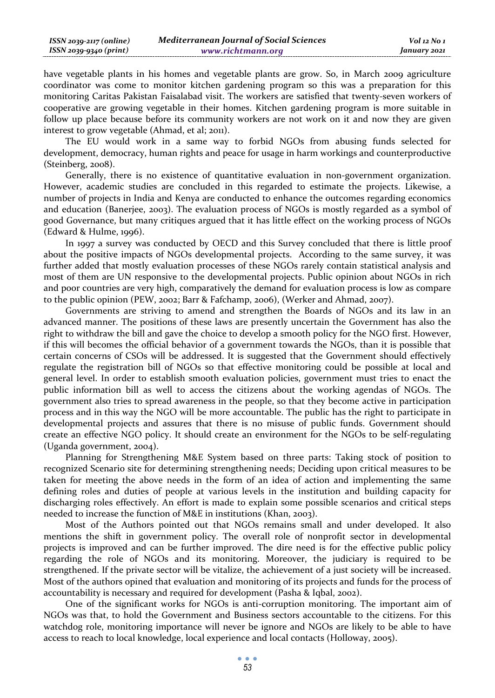| $ISSN 2039-2117 (online)$ | <b>Mediterranean Journal of Social Sciences</b> | Vol 12 No 1  |
|---------------------------|-------------------------------------------------|--------------|
| $ISSN 2039-9340 (print)$  | www.richtmann.org                               | January 2021 |

have vegetable plants in his homes and vegetable plants are grow. So, in March 2009 agriculture coordinator was come to monitor kitchen gardening program so this was a preparation for this monitoring Caritas Pakistan Faisalabad visit. The workers are satisfied that twenty-seven workers of cooperative are growing vegetable in their homes. Kitchen gardening program is more suitable in follow up place because before its community workers are not work on it and now they are given interest to grow vegetable (Ahmad, et al; 2011).

The EU would work in a same way to forbid NGOs from abusing funds selected for development, democracy, human rights and peace for usage in harm workings and counterproductive (Steinberg, 2008).

Generally, there is no existence of quantitative evaluation in non-government organization. However, academic studies are concluded in this regarded to estimate the projects. Likewise, a number of projects in India and Kenya are conducted to enhance the outcomes regarding economics and education (Banerjee, 2003). The evaluation process of NGOs is mostly regarded as a symbol of good Governance, but many critiques argued that it has little effect on the working process of NGOs (Edward & Hulme, 1996).

In 1997 a survey was conducted by OECD and this Survey concluded that there is little proof about the positive impacts of NGOs developmental projects. According to the same survey, it was further added that mostly evaluation processes of these NGOs rarely contain statistical analysis and most of them are UN responsive to the developmental projects. Public opinion about NGOs in rich and poor countries are very high, comparatively the demand for evaluation process is low as compare to the public opinion (PEW, 2002; Barr & Fafchamp, 2006), (Werker and Ahmad, 2007).

Governments are striving to amend and strengthen the Boards of NGOs and its law in an advanced manner. The positions of these laws are presently uncertain the Government has also the right to withdraw the bill and gave the choice to develop a smooth policy for the NGO first. However, if this will becomes the official behavior of a government towards the NGOs, than it is possible that certain concerns of CSOs will be addressed. It is suggested that the Government should effectively regulate the registration bill of NGOs so that effective monitoring could be possible at local and general level. In order to establish smooth evaluation policies, government must tries to enact the public information bill as well to access the citizens about the working agendas of NGOs. The government also tries to spread awareness in the people, so that they become active in participation process and in this way the NGO will be more accountable. The public has the right to participate in developmental projects and assures that there is no misuse of public funds. Government should create an effective NGO policy. It should create an environment for the NGOs to be self-regulating (Uganda government, 2004).

Planning for Strengthening M&E System based on three parts: Taking stock of position to recognized Scenario site for determining strengthening needs; Deciding upon critical measures to be taken for meeting the above needs in the form of an idea of action and implementing the same defining roles and duties of people at various levels in the institution and building capacity for discharging roles effectively. An effort is made to explain some possible scenarios and critical steps needed to increase the function of M&E in institutions (Khan, 2003).

Most of the Authors pointed out that NGOs remains small and under developed. It also mentions the shift in government policy. The overall role of nonprofit sector in developmental projects is improved and can be further improved. The dire need is for the effective public policy regarding the role of NGOs and its monitoring. Moreover, the judiciary is required to be strengthened. If the private sector will be vitalize, the achievement of a just society will be increased. Most of the authors opined that evaluation and monitoring of its projects and funds for the process of accountability is necessary and required for development (Pasha & Iqbal, 2002).

One of the significant works for NGOs is anti-corruption monitoring. The important aim of NGOs was that, to hold the Government and Business sectors accountable to the citizens. For this watchdog role, monitoring importance will never be ignore and NGOs are likely to be able to have access to reach to local knowledge, local experience and local contacts (Holloway, 2005).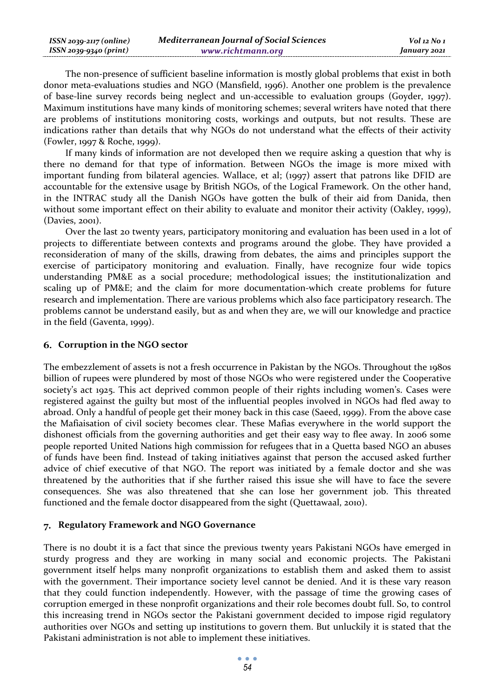| $ISSN 2039-2117 (online)$ | <b>Mediterranean Journal of Social Sciences</b> | Vol 12 No 1  |
|---------------------------|-------------------------------------------------|--------------|
| ISSN 2039-9340 (print)    | www.richtmann.org                               | January 2021 |

The non-presence of sufficient baseline information is mostly global problems that exist in both donor meta-evaluations studies and NGO (Mansfield, 1996). Another one problem is the prevalence of base-line survey records being neglect and un-accessible to evaluation groups (Goyder, 1997). Maximum institutions have many kinds of monitoring schemes; several writers have noted that there are problems of institutions monitoring costs, workings and outputs, but not results. These are indications rather than details that why NGOs do not understand what the effects of their activity (Fowler, 1997 & Roche, 1999).

If many kinds of information are not developed then we require asking a question that why is there no demand for that type of information. Between NGOs the image is more mixed with important funding from bilateral agencies. Wallace, et al; (1997) assert that patrons like DFID are accountable for the extensive usage by British NGOs, of the Logical Framework. On the other hand, in the INTRAC study all the Danish NGOs have gotten the bulk of their aid from Danida, then without some important effect on their ability to evaluate and monitor their activity (Oakley, 1999), (Davies, 2001).

Over the last 20 twenty years, participatory monitoring and evaluation has been used in a lot of projects to differentiate between contexts and programs around the globe. They have provided a reconsideration of many of the skills, drawing from debates, the aims and principles support the exercise of participatory monitoring and evaluation. Finally, have recognize four wide topics understanding PM&E as a social procedure; methodological issues; the institutionalization and scaling up of PM&E; and the claim for more documentation-which create problems for future research and implementation. There are various problems which also face participatory research. The problems cannot be understand easily, but as and when they are, we will our knowledge and practice in the field (Gaventa, 1999).

### **Corruption in the NGO sector**

The embezzlement of assets is not a fresh occurrence in Pakistan by the NGOs. Throughout the 1980s billion of rupees were plundered by most of those NGOs who were registered under the Cooperative society's act 1925. This act deprived common people of their rights including women's. Cases were registered against the guilty but most of the influential peoples involved in NGOs had fled away to abroad. Only a handful of people get their money back in this case (Saeed, 1999). From the above case the Mafiaisation of civil society becomes clear. These Mafias everywhere in the world support the dishonest officials from the governing authorities and get their easy way to flee away. In 2006 some people reported United Nations high commission for refugees that in a Quetta based NGO an abuses of funds have been find. Instead of taking initiatives against that person the accused asked further advice of chief executive of that NGO. The report was initiated by a female doctor and she was threatened by the authorities that if she further raised this issue she will have to face the severe consequences. She was also threatened that she can lose her government job. This threated functioned and the female doctor disappeared from the sight (Quettawaal, 2010).

#### **Regulatory Framework and NGO Governance**

There is no doubt it is a fact that since the previous twenty years Pakistani NGOs have emerged in sturdy progress and they are working in many social and economic projects. The Pakistani government itself helps many nonprofit organizations to establish them and asked them to assist with the government. Their importance society level cannot be denied. And it is these vary reason that they could function independently. However, with the passage of time the growing cases of corruption emerged in these nonprofit organizations and their role becomes doubt full. So, to control this increasing trend in NGOs sector the Pakistani government decided to impose rigid regulatory authorities over NGOs and setting up institutions to govern them. But unluckily it is stated that the Pakistani administration is not able to implement these initiatives.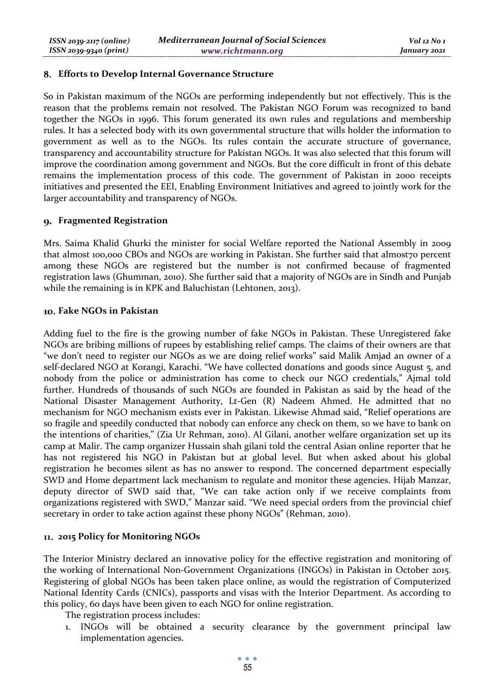### **Efforts to Develop Internal Governance Structure**

So in Pakistan maximum of the NGOs are performing independently but not effectively. This is the reason that the problems remain not resolved. The Pakistan NGO Forum was recognized to band together the NGOs in 1996. This forum generated its own rules and regulations and membership rules. It has a selected body with its own governmental structure that wills holder the information to government as well as to the NGOs. Its rules contain the accurate structure of governance, transparency and accountability structure for Pakistan NGOs. It was also selected that this forum will improve the coordination among government and NGOs. But the core difficult in front of this debate remains the implementation process of this code. The government of Pakistan in 2000 receipts initiatives and presented the EEI, Enabling Environment Initiatives and agreed to jointly work for the larger accountability and transparency of NGOs.

### **Fragmented Registration**

Mrs. Saima Khalid Ghurki the minister for social Welfare reported the National Assembly in 2009 that almost 100,000 CBOs and NGOs are working in Pakistan. She further said that almost70 percent among these NGOs are registered but the number is not confirmed because of fragmented registration laws (Ghumman, 2010). She further said that a majority of NGOs are in Sindh and Punjab while the remaining is in KPK and Baluchistan (Lehtonen, 2013).

### **Fake NGOs in Pakistan**

Adding fuel to the fire is the growing number of fake NGOs in Pakistan. These Unregistered fake NGOs are bribing millions of rupees by establishing relief camps. The claims of their owners are that "we don't need to register our NGOs as we are doing relief works" said Malik Amjad an owner of a self-declared NGO at Korangi, Karachi. "We have collected donations and goods since August 5, and nobody from the police or administration has come to check our NGO credentials," Ajmal told further. Hundreds of thousands of such NGOs are founded in Pakistan as said by the head of the National Disaster Management Authority, Lt-Gen (R) Nadeem Ahmed. He admitted that no mechanism for NGO mechanism exists ever in Pakistan. Likewise Ahmad said, "Relief operations are so fragile and speedily conducted that nobody can enforce any check on them, so we have to bank on the intentions of charities," (Zia Ur Rehman, 2010). Al Gilani, another welfare organization set up its camp at Malir. The camp organizer Hussain shah gilani told the central Asian online reporter that he has not registered his NGO in Pakistan but at global level. But when asked about his global registration he becomes silent as has no answer to respond. The concerned department especially SWD and Home department lack mechanism to regulate and monitor these agencies. Hijab Manzar, deputy director of SWD said that, "We can take action only if we receive complaints from organizations registered with SWD," Manzar said. "We need special orders from the provincial chief secretary in order to take action against these phony NGOs" (Rehman, 2010).

### **2015 Policy for Monitoring NGOs**

The Interior Ministry declared an innovative policy for the effective registration and monitoring of the working of International Non-Government Organizations (INGOs) in Pakistan in October 2015. Registering of global NGOs has been taken place online, as would the registration of Computerized National Identity Cards (CNICs), passports and visas with the Interior Department. As according to this policy, 60 days have been given to each NGO for online registration.

The registration process includes:

1. INGOs will be obtained a security clearance by the government principal law implementation agencies.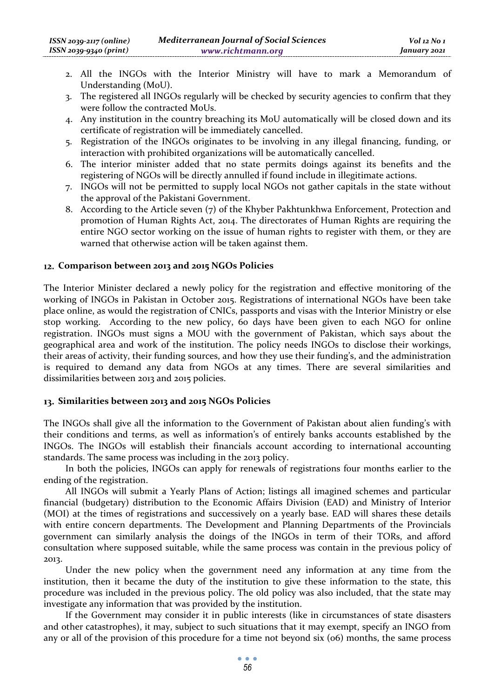- 2. All the INGOs with the Interior Ministry will have to mark a Memorandum of Understanding (MoU).
- 3. The registered all INGOs regularly will be checked by security agencies to confirm that they were follow the contracted MoUs.
- 4. Any institution in the country breaching its MoU automatically will be closed down and its certificate of registration will be immediately cancelled.
- 5. Registration of the INGOs originates to be involving in any illegal financing, funding, or interaction with prohibited organizations will be automatically cancelled.
- 6. The interior minister added that no state permits doings against its benefits and the registering of NGOs will be directly annulled if found include in illegitimate actions.
- 7. INGOs will not be permitted to supply local NGOs not gather capitals in the state without the approval of the Pakistani Government.
- 8. According to the Article seven (7) of the Khyber Pakhtunkhwa Enforcement, Protection and promotion of Human Rights Act, 2014. The directorates of Human Rights are requiring the entire NGO sector working on the issue of human rights to register with them, or they are warned that otherwise action will be taken against them.

### **Comparison between 2013 and 2015 NGOs Policies**

The Interior Minister declared a newly policy for the registration and effective monitoring of the working of INGOs in Pakistan in October 2015. Registrations of international NGOs have been take place online, as would the registration of CNICs, passports and visas with the Interior Ministry or else stop working. According to the new policy, 60 days have been given to each NGO for online registration. INGOs must signs a MOU with the government of Pakistan, which says about the geographical area and work of the institution. The policy needs INGOs to disclose their workings, their areas of activity, their funding sources, and how they use their funding's, and the administration is required to demand any data from NGOs at any times. There are several similarities and dissimilarities between 2013 and 2015 policies.

#### **Similarities between 2013 and 2015 NGOs Policies**

The INGOs shall give all the information to the Government of Pakistan about alien funding's with their conditions and terms, as well as information's of entirely banks accounts established by the INGOs. The INGOs will establish their financials account according to international accounting standards. The same process was including in the 2013 policy.

In both the policies, INGOs can apply for renewals of registrations four months earlier to the ending of the registration.

All INGOs will submit a Yearly Plans of Action; listings all imagined schemes and particular financial (budgetary) distribution to the Economic Affairs Division (EAD) and Ministry of Interior (MOI) at the times of registrations and successively on a yearly base. EAD will shares these details with entire concern departments. The Development and Planning Departments of the Provincials government can similarly analysis the doings of the INGOs in term of their TORs, and afford consultation where supposed suitable, while the same process was contain in the previous policy of 2013.

Under the new policy when the government need any information at any time from the institution, then it became the duty of the institution to give these information to the state, this procedure was included in the previous policy. The old policy was also included, that the state may investigate any information that was provided by the institution.

If the Government may consider it in public interests (like in circumstances of state disasters and other catastrophes), it may, subject to such situations that it may exempt, specify an INGO from any or all of the provision of this procedure for a time not beyond six (06) months, the same process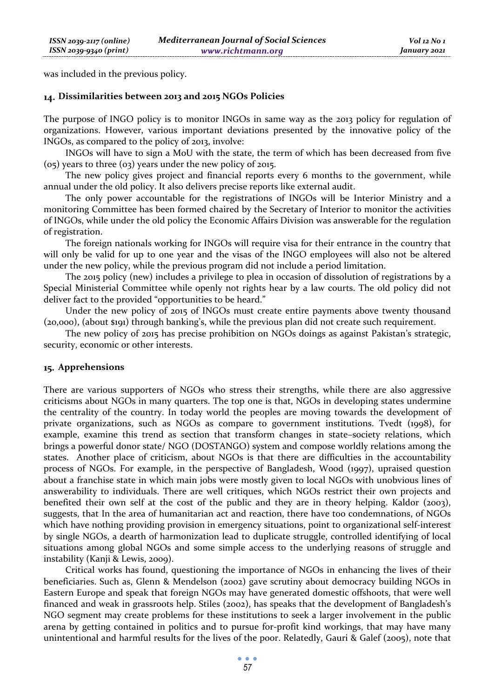was included in the previous policy.

#### **Dissimilarities between 2013 and 2015 NGOs Policies**

The purpose of INGO policy is to monitor INGOs in same way as the 2013 policy for regulation of organizations. However, various important deviations presented by the innovative policy of the INGOs, as compared to the policy of 2013, involve:

INGOs will have to sign a MoU with the state, the term of which has been decreased from five (05) years to three (03) years under the new policy of 2015.

The new policy gives project and financial reports every 6 months to the government, while annual under the old policy. It also delivers precise reports like external audit.

The only power accountable for the registrations of INGOs will be Interior Ministry and a monitoring Committee has been formed chaired by the Secretary of Interior to monitor the activities of INGOs, while under the old policy the Economic Affairs Division was answerable for the regulation of registration.

The foreign nationals working for INGOs will require visa for their entrance in the country that will only be valid for up to one year and the visas of the INGO employees will also not be altered under the new policy, while the previous program did not include a period limitation.

The 2015 policy (new) includes a privilege to plea in occasion of dissolution of registrations by a Special Ministerial Committee while openly not rights hear by a law courts. The old policy did not deliver fact to the provided "opportunities to be heard."

Under the new policy of 2015 of INGOs must create entire payments above twenty thousand (20,000), (about \$191) through banking's, while the previous plan did not create such requirement.

The new policy of 2015 has precise prohibition on NGOs doings as against Pakistan's strategic, security, economic or other interests.

#### **Apprehensions**

There are various supporters of NGOs who stress their strengths, while there are also aggressive criticisms about NGOs in many quarters. The top one is that, NGOs in developing states undermine the centrality of the country. In today world the peoples are moving towards the development of private organizations, such as NGOs as compare to government institutions. Tvedt (1998), for example, examine this trend as section that transform changes in state–society relations, which brings a powerful donor state/ NGO (DOSTANGO) system and compose worldly relations among the states. Another place of criticism, about NGOs is that there are difficulties in the accountability process of NGOs. For example, in the perspective of Bangladesh, Wood (1997), upraised question about a franchise state in which main jobs were mostly given to local NGOs with unobvious lines of answerability to individuals. There are well critiques, which NGOs restrict their own projects and benefited their own self at the cost of the public and they are in theory helping. Kaldor (2003), suggests, that In the area of humanitarian act and reaction, there have too condemnations, of NGOs which have nothing providing provision in emergency situations, point to organizational self-interest by single NGOs, a dearth of harmonization lead to duplicate struggle, controlled identifying of local situations among global NGOs and some simple access to the underlying reasons of struggle and instability (Kanji & Lewis, 2009).

Critical works has found, questioning the importance of NGOs in enhancing the lives of their beneficiaries. Such as, Glenn & Mendelson (2002) gave scrutiny about democracy building NGOs in Eastern Europe and speak that foreign NGOs may have generated domestic offshoots, that were well financed and weak in grassroots help. Stiles (2002), has speaks that the development of Bangladesh's NGO segment may create problems for these institutions to seek a larger involvement in the public arena by getting contained in politics and to pursue for-profit kind workings, that may have many unintentional and harmful results for the lives of the poor. Relatedly, Gauri & Galef (2005), note that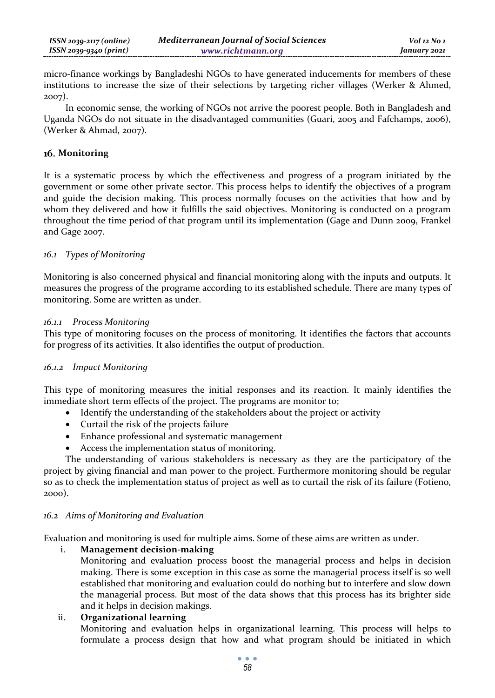micro-finance workings by Bangladeshi NGOs to have generated inducements for members of these institutions to increase the size of their selections by targeting richer villages (Werker & Ahmed, 2007).

In economic sense, the working of NGOs not arrive the poorest people. Both in Bangladesh and Uganda NGOs do not situate in the disadvantaged communities (Guari, 2005 and Fafchamps, 2006), (Werker & Ahmad, 2007).

# **Monitoring**

It is a systematic process by which the effectiveness and progress of a program initiated by the government or some other private sector. This process helps to identify the objectives of a program and guide the decision making. This process normally focuses on the activities that how and by whom they delivered and how it fulfills the said objectives. Monitoring is conducted on a program throughout the time period of that program until its implementation **(**Gage and Dunn 2009, Frankel and Gage 2007.

# *16.1 Types of Monitoring*

Monitoring is also concerned physical and financial monitoring along with the inputs and outputs. It measures the progress of the programe according to its established schedule. There are many types of monitoring. Some are written as under.

# *16.1.1 Process Monitoring*

This type of monitoring focuses on the process of monitoring. It identifies the factors that accounts for progress of its activities. It also identifies the output of production.

# *16.1.2 Impact Monitoring*

This type of monitoring measures the initial responses and its reaction. It mainly identifies the immediate short term effects of the project. The programs are monitor to;

- Identify the understanding of the stakeholders about the project or activity
- Curtail the risk of the projects failure
- Enhance professional and systematic management
- Access the implementation status of monitoring.

The understanding of various stakeholders is necessary as they are the participatory of the project by giving financial and man power to the project. Furthermore monitoring should be regular so as to check the implementation status of project as well as to curtail the risk of its failure (Fotieno, 2000).

# *16.2 Aims of Monitoring and Evaluation*

Evaluation and monitoring is used for multiple aims. Some of these aims are written as under.

# i. **Management decision-making**

Monitoring and evaluation process boost the managerial process and helps in decision making. There is some exception in this case as some the managerial process itself is so well established that monitoring and evaluation could do nothing but to interfere and slow down the managerial process. But most of the data shows that this process has its brighter side and it helps in decision makings.

# ii. **Organizational learning**

Monitoring and evaluation helps in organizational learning. This process will helps to formulate a process design that how and what program should be initiated in which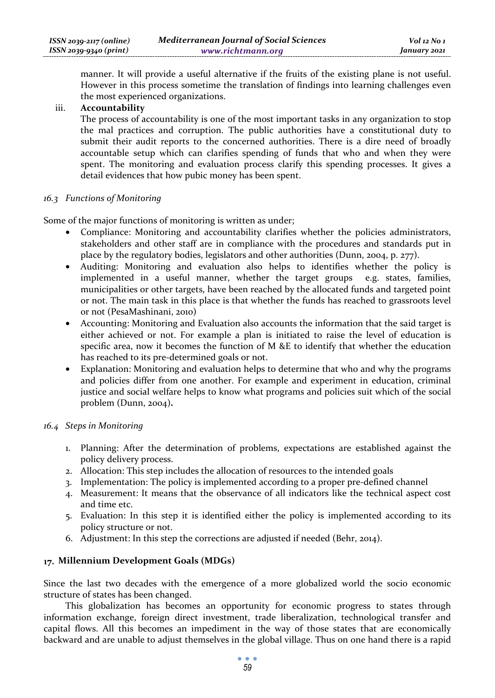manner. It will provide a useful alternative if the fruits of the existing plane is not useful. However in this process sometime the translation of findings into learning challenges even the most experienced organizations.

### iii. **Accountability**

The process of accountability is one of the most important tasks in any organization to stop the mal practices and corruption. The public authorities have a constitutional duty to submit their audit reports to the concerned authorities. There is a dire need of broadly accountable setup which can clarifies spending of funds that who and when they were spent. The monitoring and evaluation process clarify this spending processes. It gives a detail evidences that how pubic money has been spent.

### *16.3 Functions of Monitoring*

Some of the major functions of monitoring is written as under;

- Compliance: Monitoring and accountability clarifies whether the policies administrators, stakeholders and other staff are in compliance with the procedures and standards put in place by the regulatory bodies, legislators and other authorities (Dunn, 2004, p. 277).
- Auditing: Monitoring and evaluation also helps to identifies whether the policy is implemented in a useful manner, whether the target groups e.g. states, families, municipalities or other targets, have been reached by the allocated funds and targeted point or not. The main task in this place is that whether the funds has reached to grassroots level or not (PesaMashinani, 2010)
- Accounting: Monitoring and Evaluation also accounts the information that the said target is either achieved or not. For example a plan is initiated to raise the level of education is specific area, now it becomes the function of M &E to identify that whether the education has reached to its pre-determined goals or not.
- Explanation: Monitoring and evaluation helps to determine that who and why the programs and policies differ from one another. For example and experiment in education, criminal justice and social welfare helps to know what programs and policies suit which of the social problem (Dunn, 2004)**.**

# *16.4 Steps in Monitoring*

- 1. Planning: After the determination of problems, expectations are established against the policy delivery process.
- 2. Allocation: This step includes the allocation of resources to the intended goals
- 3. Implementation: The policy is implemented according to a proper pre-defined channel
- 4. Measurement: It means that the observance of all indicators like the technical aspect cost and time etc.
- 5. Evaluation: In this step it is identified either the policy is implemented according to its policy structure or not.
- 6. Adjustment: In this step the corrections are adjusted if needed (Behr, 2014).

# **Millennium Development Goals (MDGs)**

Since the last two decades with the emergence of a more globalized world the socio economic structure of states has been changed.

This globalization has becomes an opportunity for economic progress to states through information exchange, foreign direct investment, trade liberalization, technological transfer and capital flows. All this becomes an impediment in the way of those states that are economically backward and are unable to adjust themselves in the global village. Thus on one hand there is a rapid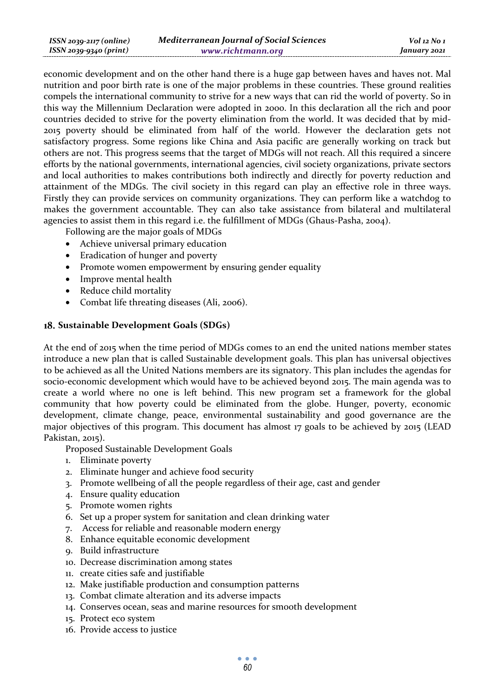| ISSN 2039-2117 (online) | <b>Mediterranean Journal of Social Sciences</b> | $Vol$ 12 No 1 |
|-------------------------|-------------------------------------------------|---------------|
| ISSN 2039-9340 (print)  | www.richtmann.org                               | January 2021  |

economic development and on the other hand there is a huge gap between haves and haves not. Mal nutrition and poor birth rate is one of the major problems in these countries. These ground realities compels the international community to strive for a new ways that can rid the world of poverty. So in this way the Millennium Declaration were adopted in 2000. In this declaration all the rich and poor countries decided to strive for the poverty elimination from the world. It was decided that by mid-2015 poverty should be eliminated from half of the world. However the declaration gets not satisfactory progress. Some regions like China and Asia pacific are generally working on track but others are not. This progress seems that the target of MDGs will not reach. All this required a sincere efforts by the national governments, international agencies, civil society organizations, private sectors and local authorities to makes contributions both indirectly and directly for poverty reduction and attainment of the MDGs. The civil society in this regard can play an effective role in three ways. Firstly they can provide services on community organizations. They can perform like a watchdog to makes the government accountable. They can also take assistance from bilateral and multilateral agencies to assist them in this regard i.e. the fulfillment of MDGs (Ghaus-Pasha, 2004).

Following are the major goals of MDGs

- Achieve universal primary education
- Eradication of hunger and poverty
- Promote women empowerment by ensuring gender equality
- Improve mental health
- Reduce child mortality
- Combat life threating diseases (Ali, 2006).

# **Sustainable Development Goals (SDGs)**

At the end of 2015 when the time period of MDGs comes to an end the united nations member states introduce a new plan that is called Sustainable development goals. This plan has universal objectives to be achieved as all the United Nations members are its signatory. This plan includes the agendas for socio-economic development which would have to be achieved beyond 2015. The main agenda was to create a world where no one is left behind. This new program set a framework for the global community that how poverty could be eliminated from the globe. Hunger, poverty, economic development, climate change, peace, environmental sustainability and good governance are the major objectives of this program. This document has almost 17 goals to be achieved by 2015 (LEAD Pakistan, 2015).

Proposed Sustainable Development Goals

- 1. Eliminate poverty
- 2. Eliminate hunger and achieve food security
- 3. Promote wellbeing of all the people regardless of their age, cast and gender
- 4. Ensure quality education
- 5. Promote women rights
- 6. Set up a proper system for sanitation and clean drinking water
- 7. Access for reliable and reasonable modern energy
- 8. Enhance equitable economic development
- 9. Build infrastructure
- 10. Decrease discrimination among states
- 11. create cities safe and justifiable
- 12. Make justifiable production and consumption patterns
- 13. Combat climate alteration and its adverse impacts
- 14. Conserves ocean, seas and marine resources for smooth development
- 15. Protect eco system
- 16. Provide access to justice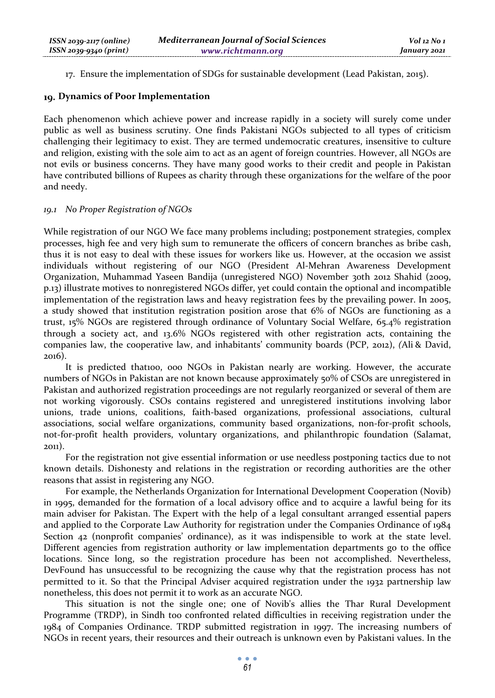17. Ensure the implementation of SDGs for sustainable development (Lead Pakistan, 2015).

### **Dynamics of Poor Implementation**

Each phenomenon which achieve power and increase rapidly in a society will surely come under public as well as business scrutiny. One finds Pakistani NGOs subjected to all types of criticism challenging their legitimacy to exist. They are termed undemocratic creatures, insensitive to culture and religion, existing with the sole aim to act as an agent of foreign countries. However, all NGOs are not evils or business concerns. They have many good works to their credit and people in Pakistan have contributed billions of Rupees as charity through these organizations for the welfare of the poor and needy.

# *19.1 No Proper Registration of NGOs*

While registration of our NGO We face many problems including; postponement strategies, complex processes, high fee and very high sum to remunerate the officers of concern branches as bribe cash, thus it is not easy to deal with these issues for workers like us. However, at the occasion we assist individuals without registering of our NGO (President Al-Mehran Awareness Development Organization, Muhammad Yaseen Bandija (unregistered NGO) November 30th 2012 Shahid (2009, p.13) illustrate motives to nonregistered NGOs differ, yet could contain the optional and incompatible implementation of the registration laws and heavy registration fees by the prevailing power. In 2005, a study showed that institution registration position arose that 6% of NGOs are functioning as a trust, 15% NGOs are registered through ordinance of Voluntary Social Welfare, 65.4% registration through a society act, and 13.6% NGOs registered with other registration acts, containing the companies law, the cooperative law, and inhabitants' community boards (PCP, 2012), *(*Ali & David, 2016).

It is predicted that100, 000 NGOs in Pakistan nearly are working. However, the accurate numbers of NGOs in Pakistan are not known because approximately 50% of CSOs are unregistered in Pakistan and authorized registration proceedings are not regularly reorganized or several of them are not working vigorously. CSOs contains registered and unregistered institutions involving labor unions, trade unions, coalitions, faith-based organizations, professional associations, cultural associations, social welfare organizations, community based organizations, non-for-profit schools, not-for-profit health providers, voluntary organizations, and philanthropic foundation (Salamat, 2011).

For the registration not give essential information or use needless postponing tactics due to not known details. Dishonesty and relations in the registration or recording authorities are the other reasons that assist in registering any NGO.

For example, the Netherlands Organization for International Development Cooperation (Novib) in 1995, demanded for the formation of a local advisory office and to acquire a lawful being for its main adviser for Pakistan. The Expert with the help of a legal consultant arranged essential papers and applied to the Corporate Law Authority for registration under the Companies Ordinance of 1984 Section 42 (nonprofit companies' ordinance), as it was indispensible to work at the state level. Different agencies from registration authority or law implementation departments go to the office locations. Since long, so the registration procedure has been not accomplished. Nevertheless, DevFound has unsuccessful to be recognizing the cause why that the registration process has not permitted to it. So that the Principal Adviser acquired registration under the 1932 partnership law nonetheless, this does not permit it to work as an accurate NGO.

This situation is not the single one; one of Novib's allies the Thar Rural Development Programme (TRDP), in Sindh too confronted related difficulties in receiving registration under the 1984 of Companies Ordinance. TRDP submitted registration in 1997. The increasing numbers of NGOs in recent years, their resources and their outreach is unknown even by Pakistani values. In the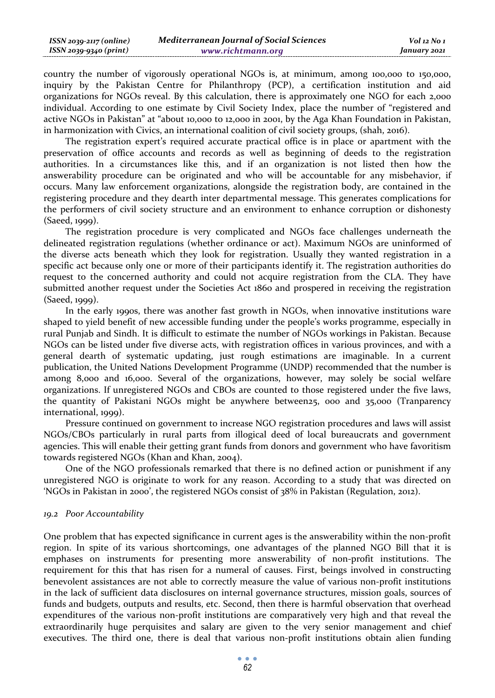| $ISSN 2039-2117 (online)$ | <b>Mediterranean Journal of Social Sciences</b> | Vol 12 No 1  |
|---------------------------|-------------------------------------------------|--------------|
| ISSN 2039-9340 (print)    | www.richtmann.org                               | January 2021 |

country the number of vigorously operational NGOs is, at minimum, among 100,000 to 150,000, inquiry by the Pakistan Centre for Philanthropy (PCP), a certification institution and aid organizations for NGOs reveal. By this calculation, there is approximately one NGO for each 2,000 individual. According to one estimate by Civil Society Index, place the number of "registered and active NGOs in Pakistan" at "about 10,000 to 12,000 in 2001, by the Aga Khan Foundation in Pakistan, in harmonization with Civics, an international coalition of civil society groups, (shah, 2016).

The registration expert's required accurate practical office is in place or apartment with the preservation of office accounts and records as well as beginning of deeds to the registration authorities. In a circumstances like this, and if an organization is not listed then how the answerability procedure can be originated and who will be accountable for any misbehavior, if occurs. Many law enforcement organizations, alongside the registration body, are contained in the registering procedure and they dearth inter departmental message. This generates complications for the performers of civil society structure and an environment to enhance corruption or dishonesty (Saeed, 1999).

The registration procedure is very complicated and NGOs face challenges underneath the delineated registration regulations (whether ordinance or act). Maximum NGOs are uninformed of the diverse acts beneath which they look for registration. Usually they wanted registration in a specific act because only one or more of their participants identify it. The registration authorities do request to the concerned authority and could not acquire registration from the CLA. They have submitted another request under the Societies Act 1860 and prospered in receiving the registration (Saeed, 1999).

In the early 1990s, there was another fast growth in NGOs, when innovative institutions ware shaped to yield benefit of new accessible funding under the people's works programme, especially in rural Punjab and Sindh. It is difficult to estimate the number of NGOs workings in Pakistan. Because NGOs can be listed under five diverse acts, with registration offices in various provinces, and with a general dearth of systematic updating, just rough estimations are imaginable. In a current publication, the United Nations Development Programme (UNDP) recommended that the number is among 8,000 and 16,000. Several of the organizations, however, may solely be social welfare organizations. If unregistered NGOs and CBOs are counted to those registered under the five laws, the quantity of Pakistani NGOs might be anywhere between25, 000 and 35,000 (Tranparency international, 1999).

Pressure continued on government to increase NGO registration procedures and laws will assist NGOs/CBOs particularly in rural parts from illogical deed of local bureaucrats and government agencies. This will enable their getting grant funds from donors and government who have favoritism towards registered NGOs (Khan and Khan, 2004).

One of the NGO professionals remarked that there is no defined action or punishment if any unregistered NGO is originate to work for any reason. According to a study that was directed on 'NGOs in Pakistan in 2000', the registered NGOs consist of 38% in Pakistan (Regulation, 2012).

#### *19.2 Poor Accountability*

One problem that has expected significance in current ages is the answerability within the non-profit region. In spite of its various shortcomings, one advantages of the planned NGO Bill that it is emphases on instruments for presenting more answerability of non-profit institutions. The requirement for this that has risen for a numeral of causes. First, beings involved in constructing benevolent assistances are not able to correctly measure the value of various non-profit institutions in the lack of sufficient data disclosures on internal governance structures, mission goals, sources of funds and budgets, outputs and results, etc. Second, then there is harmful observation that overhead expenditures of the various non-profit institutions are comparatively very high and that reveal the extraordinarily huge perquisites and salary are given to the very senior management and chief executives. The third one, there is deal that various non-profit institutions obtain alien funding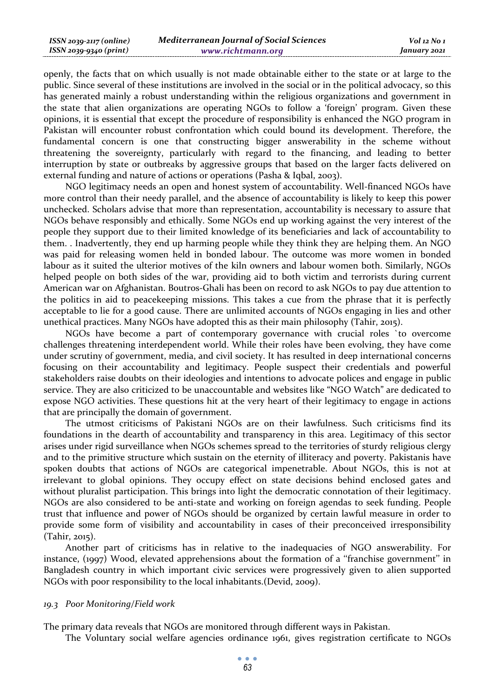| ISSN 2039-2117 (online) | <b>Mediterranean Journal of Social Sciences</b> | $Vol$ 12 No 1 |
|-------------------------|-------------------------------------------------|---------------|
| ISSN 2039-9340 (print)  | www.richtmann.org                               | January 2021  |

openly, the facts that on which usually is not made obtainable either to the state or at large to the public. Since several of these institutions are involved in the social or in the political advocacy, so this has generated mainly a robust understanding within the religious organizations and government in the state that alien organizations are operating NGOs to follow a 'foreign' program. Given these opinions, it is essential that except the procedure of responsibility is enhanced the NGO program in Pakistan will encounter robust confrontation which could bound its development. Therefore, the fundamental concern is one that constructing bigger answerability in the scheme without threatening the sovereignty, particularly with regard to the financing, and leading to better interruption by state or outbreaks by aggressive groups that based on the larger facts delivered on external funding and nature of actions or operations (Pasha & Iqbal, 2003).

NGO legitimacy needs an open and honest system of accountability. Well-financed NGOs have more control than their needy parallel, and the absence of accountability is likely to keep this power unchecked. Scholars advise that more than representation, accountability is necessary to assure that NGOs behave responsibly and ethically. Some NGOs end up working against the very interest of the people they support due to their limited knowledge of its beneficiaries and lack of accountability to them. . Inadvertently, they end up harming people while they think they are helping them. An NGO was paid for releasing women held in bonded labour. The outcome was more women in bonded labour as it suited the ulterior motives of the kiln owners and labour women both. Similarly, NGOs helped people on both sides of the war, providing aid to both victim and terrorists during current American war on Afghanistan. Boutros-Ghali has been on record to ask NGOs to pay due attention to the politics in aid to peacekeeping missions. This takes a cue from the phrase that it is perfectly acceptable to lie for a good cause. There are unlimited accounts of NGOs engaging in lies and other unethical practices. Many NGOs have adopted this as their main philosophy (Tahir, 2015).

NGOs have become a part of contemporary governance with crucial roles `to overcome challenges threatening interdependent world. While their roles have been evolving, they have come under scrutiny of government, media, and civil society. It has resulted in deep international concerns focusing on their accountability and legitimacy. People suspect their credentials and powerful stakeholders raise doubts on their ideologies and intentions to advocate polices and engage in public service. They are also criticized to be unaccountable and websites like "NGO Watch" are dedicated to expose NGO activities. These questions hit at the very heart of their legitimacy to engage in actions that are principally the domain of government.

The utmost criticisms of Pakistani NGOs are on their lawfulness. Such criticisms find its foundations in the dearth of accountability and transparency in this area. Legitimacy of this sector arises under rigid surveillance when NGOs schemes spread to the territories of sturdy religious clergy and to the primitive structure which sustain on the eternity of illiteracy and poverty. Pakistanis have spoken doubts that actions of NGOs are categorical impenetrable. About NGOs, this is not at irrelevant to global opinions. They occupy effect on state decisions behind enclosed gates and without pluralist participation. This brings into light the democratic connotation of their legitimacy. NGOs are also considered to be anti-state and working on foreign agendas to seek funding. People trust that influence and power of NGOs should be organized by certain lawful measure in order to provide some form of visibility and accountability in cases of their preconceived irresponsibility (Tahir, 2015).

Another part of criticisms has in relative to the inadequacies of NGO answerability. For instance, (1997) Wood, elevated apprehensions about the formation of a ''franchise government'' in Bangladesh country in which important civic services were progressively given to alien supported NGOs with poor responsibility to the local inhabitants.(Devid, 2009).

#### *19.3 Poor Monitoring/Field work*

The primary data reveals that NGOs are monitored through different ways in Pakistan.

The Voluntary social welfare agencies ordinance 1961, gives registration certificate to NGOs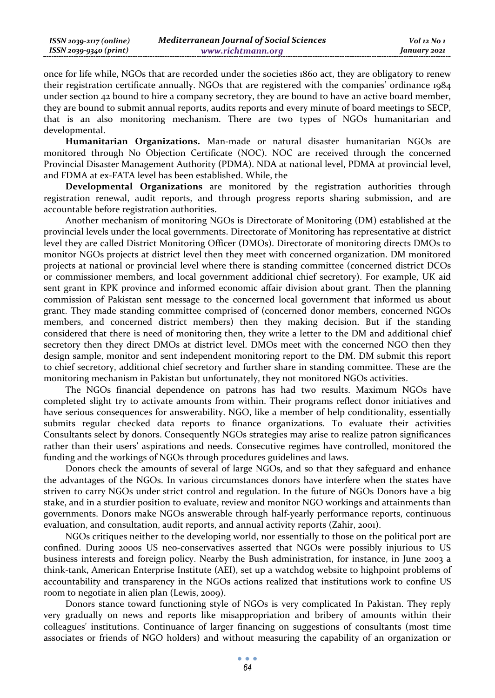| $ISSN 2039-2117 (online)$ | <b>Mediterranean Journal of Social Sciences</b> | Vol 12 No 1  |
|---------------------------|-------------------------------------------------|--------------|
| $ISSN 2039-9340 (print)$  | www.richtmann.org                               | January 2021 |

once for life while, NGOs that are recorded under the societies 1860 act, they are obligatory to renew their registration certificate annually. NGOs that are registered with the companies' ordinance 1984 under section 42 bound to hire a company secretory, they are bound to have an active board member, they are bound to submit annual reports, audits reports and every minute of board meetings to SECP, that is an also monitoring mechanism. There are two types of NGOs humanitarian and developmental.

**Humanitarian Organizations.** Man-made or natural disaster humanitarian NGOs are monitored through No Objection Certificate (NOC). NOC are received through the concerned Provincial Disaster Management Authority (PDMA). NDA at national level, PDMA at provincial level, and FDMA at ex-FATA level has been established. While, the

**Developmental Organizations** are monitored by the registration authorities through registration renewal, audit reports, and through progress reports sharing submission, and are accountable before registration authorities.

Another mechanism of monitoring NGOs is Directorate of Monitoring (DM) established at the provincial levels under the local governments. Directorate of Monitoring has representative at district level they are called District Monitoring Officer (DMOs). Directorate of monitoring directs DMOs to monitor NGOs projects at district level then they meet with concerned organization. DM monitored projects at national or provincial level where there is standing committee (concerned district DCOs or commissioner members, and local government additional chief secretory). For example, UK aid sent grant in KPK province and informed economic affair division about grant. Then the planning commission of Pakistan sent message to the concerned local government that informed us about grant. They made standing committee comprised of (concerned donor members, concerned NGOs members, and concerned district members) then they making decision. But if the standing considered that there is need of monitoring then, they write a letter to the DM and additional chief secretory then they direct DMOs at district level. DMOs meet with the concerned NGO then they design sample, monitor and sent independent monitoring report to the DM. DM submit this report to chief secretory, additional chief secretory and further share in standing committee. These are the monitoring mechanism in Pakistan but unfortunately, they not monitored NGOs activities.

The NGOs financial dependence on patrons has had two results. Maximum NGOs have completed slight try to activate amounts from within. Their programs reflect donor initiatives and have serious consequences for answerability. NGO, like a member of help conditionality, essentially submits regular checked data reports to finance organizations. To evaluate their activities Consultants select by donors. Consequently NGOs strategies may arise to realize patron significances rather than their users' aspirations and needs. Consecutive regimes have controlled, monitored the funding and the workings of NGOs through procedures guidelines and laws.

Donors check the amounts of several of large NGOs, and so that they safeguard and enhance the advantages of the NGOs. In various circumstances donors have interfere when the states have striven to carry NGOs under strict control and regulation. In the future of NGOs Donors have a big stake, and in a sturdier position to evaluate, review and monitor NGO workings and attainments than governments. Donors make NGOs answerable through half-yearly performance reports, continuous evaluation, and consultation, audit reports, and annual activity reports (Zahir, 2001).

NGOs critiques neither to the developing world, nor essentially to those on the political port are confined. During 2000s US neo-conservatives asserted that NGOs were possibly injurious to US business interests and foreign policy. Nearby the Bush administration, for instance, in June 2003 a think-tank, American Enterprise Institute (AEI), set up a watchdog website to highpoint problems of accountability and transparency in the NGOs actions realized that institutions work to confine US room to negotiate in alien plan (Lewis, 2009).

Donors stance toward functioning style of NGOs is very complicated In Pakistan. They reply very gradually on news and reports like misappropriation and bribery of amounts within their colleagues' institutions. Continuance of larger financing on suggestions of consultants (most time associates or friends of NGO holders) and without measuring the capability of an organization or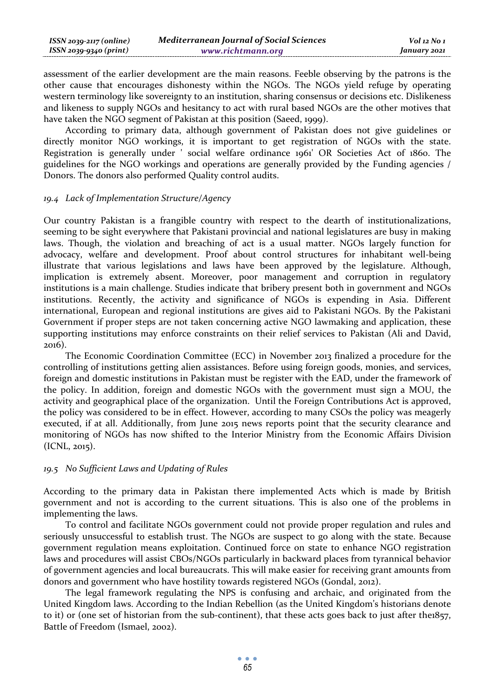| $ISSN 2039-2117 (online)$ | <b>Mediterranean Journal of Social Sciences</b> | Vol 12 No 1  |
|---------------------------|-------------------------------------------------|--------------|
| ISSN 2039-9340 (print)    | www.richtmann.org                               | January 2021 |

assessment of the earlier development are the main reasons. Feeble observing by the patrons is the other cause that encourages dishonesty within the NGOs. The NGOs yield refuge by operating western terminology like sovereignty to an institution, sharing consensus or decisions etc. Dislikeness and likeness to supply NGOs and hesitancy to act with rural based NGOs are the other motives that have taken the NGO segment of Pakistan at this position (Saeed, 1999).

According to primary data, although government of Pakistan does not give guidelines or directly monitor NGO workings, it is important to get registration of NGOs with the state. Registration is generally under ' social welfare ordinance 1961' OR Societies Act of 1860. The guidelines for the NGO workings and operations are generally provided by the Funding agencies / Donors. The donors also performed Quality control audits.

#### *19.4 Lack of Implementation Structure/Agency*

Our country Pakistan is a frangible country with respect to the dearth of institutionalizations, seeming to be sight everywhere that Pakistani provincial and national legislatures are busy in making laws. Though, the violation and breaching of act is a usual matter. NGOs largely function for advocacy, welfare and development. Proof about control structures for inhabitant well-being illustrate that various legislations and laws have been approved by the legislature. Although, implication is extremely absent. Moreover, poor management and corruption in regulatory institutions is a main challenge. Studies indicate that bribery present both in government and NGOs institutions. Recently, the activity and significance of NGOs is expending in Asia. Different international, European and regional institutions are gives aid to Pakistani NGOs. By the Pakistani Government if proper steps are not taken concerning active NGO lawmaking and application, these supporting institutions may enforce constraints on their relief services to Pakistan (Ali and David, 2016).

The Economic Coordination Committee (ECC) in November 2013 finalized a procedure for the controlling of institutions getting alien assistances. Before using foreign goods, monies, and services, foreign and domestic institutions in Pakistan must be register with the EAD, under the framework of the policy. In addition, foreign and domestic NGOs with the government must sign a MOU, the activity and geographical place of the organization. Until the Foreign Contributions Act is approved, the policy was considered to be in effect. However, according to many CSOs the policy was meagerly executed, if at all. Additionally, from June 2015 news reports point that the security clearance and monitoring of NGOs has now shifted to the Interior Ministry from the Economic Affairs Division (ICNL, 2015).

# *19.5 No Sufficient Laws and Updating of Rules*

According to the primary data in Pakistan there implemented Acts which is made by British government and not is according to the current situations. This is also one of the problems in implementing the laws.

To control and facilitate NGOs government could not provide proper regulation and rules and seriously unsuccessful to establish trust. The NGOs are suspect to go along with the state. Because government regulation means exploitation. Continued force on state to enhance NGO registration laws and procedures will assist CBOs/NGOs particularly in backward places from tyrannical behavior of government agencies and local bureaucrats. This will make easier for receiving grant amounts from donors and government who have hostility towards registered NGOs (Gondal, 2012).

The legal framework regulating the NPS is confusing and archaic, and originated from the United Kingdom laws. According to the Indian Rebellion (as the United Kingdom's historians denote to it) or (one set of historian from the sub-continent), that these acts goes back to just after the1857, Battle of Freedom (Ismael, 2002).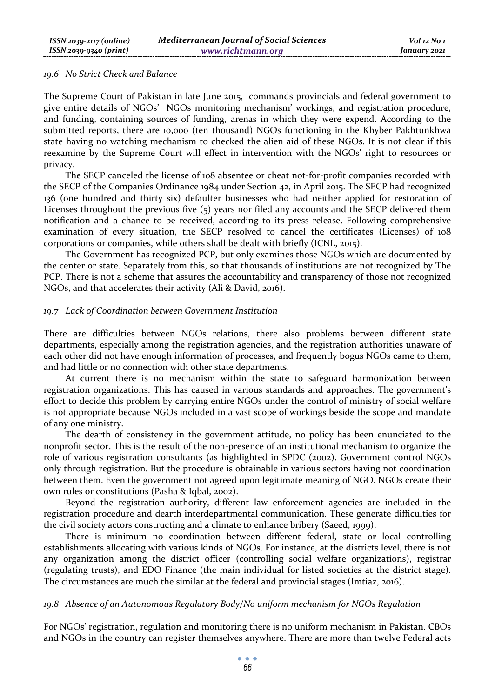#### *19.6 No Strict Check and Balance*

The Supreme Court of Pakistan in late June 2015, commands provincials and federal government to give entire details of NGOs' NGOs monitoring mechanism' workings, and registration procedure, and funding, containing sources of funding, arenas in which they were expend. According to the submitted reports, there are 10,000 (ten thousand) NGOs functioning in the Khyber Pakhtunkhwa state having no watching mechanism to checked the alien aid of these NGOs. It is not clear if this reexamine by the Supreme Court will effect in intervention with the NGOs' right to resources or privacy.

The SECP canceled the license of 108 absentee or cheat not-for-profit companies recorded with the SECP of the Companies Ordinance 1984 under Section 42, in April 2015. The SECP had recognized 136 (one hundred and thirty six) defaulter businesses who had neither applied for restoration of Licenses throughout the previous five (5) years nor filed any accounts and the SECP delivered them notification and a chance to be received, according to its press release. Following comprehensive examination of every situation, the SECP resolved to cancel the certificates (Licenses) of 108 corporations or companies, while others shall be dealt with briefly (ICNL, 2015).

The Government has recognized PCP, but only examines those NGOs which are documented by the center or state. Separately from this, so that thousands of institutions are not recognized by The PCP. There is not a scheme that assures the accountability and transparency of those not recognized NGOs, and that accelerates their activity (Ali & David, 2016).

#### *19.7 Lack of Coordination between Government Institution*

There are difficulties between NGOs relations, there also problems between different state departments, especially among the registration agencies, and the registration authorities unaware of each other did not have enough information of processes, and frequently bogus NGOs came to them, and had little or no connection with other state departments.

At current there is no mechanism within the state to safeguard harmonization between registration organizations. This has caused in various standards and approaches. The government's effort to decide this problem by carrying entire NGOs under the control of ministry of social welfare is not appropriate because NGOs included in a vast scope of workings beside the scope and mandate of any one ministry.

The dearth of consistency in the government attitude, no policy has been enunciated to the nonprofit sector. This is the result of the non-presence of an institutional mechanism to organize the role of various registration consultants (as highlighted in SPDC (2002). Government control NGOs only through registration. But the procedure is obtainable in various sectors having not coordination between them. Even the government not agreed upon legitimate meaning of NGO. NGOs create their own rules or constitutions (Pasha & Iqbal, 2002).

Beyond the registration authority, different law enforcement agencies are included in the registration procedure and dearth interdepartmental communication. These generate difficulties for the civil society actors constructing and a climate to enhance bribery (Saeed, 1999).

There is minimum no coordination between different federal, state or local controlling establishments allocating with various kinds of NGOs. For instance, at the districts level, there is not any organization among the district officer (controlling social welfare organizations), registrar (regulating trusts), and EDO Finance (the main individual for listed societies at the district stage). The circumstances are much the similar at the federal and provincial stages (Imtiaz, 2016).

#### *19.8 Absence of an Autonomous Regulatory Body/No uniform mechanism for NGOs Regulation*

For NGOs' registration, regulation and monitoring there is no uniform mechanism in Pakistan. CBOs and NGOs in the country can register themselves anywhere. There are more than twelve Federal acts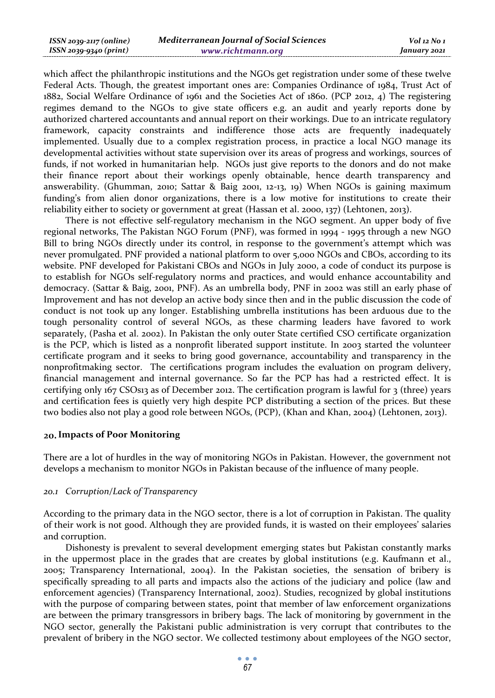| ISSN 2039-2117 (online) | <b>Mediterranean Journal of Social Sciences</b> | Vol 12 No 1  |
|-------------------------|-------------------------------------------------|--------------|
| ISSN 2039-9340 (print)  | www.richtmann.org                               | January 2021 |

which affect the philanthropic institutions and the NGOs get registration under some of these twelve Federal Acts. Though, the greatest important ones are: Companies Ordinance of 1984, Trust Act of 1882, Social Welfare Ordinance of 1961 and the Societies Act of 1860. (PCP 2012, 4) The registering regimes demand to the NGOs to give state officers e.g. an audit and yearly reports done by authorized chartered accountants and annual report on their workings. Due to an intricate regulatory framework, capacity constraints and indifference those acts are frequently inadequately implemented. Usually due to a complex registration process, in practice a local NGO manage its developmental activities without state supervision over its areas of progress and workings, sources of funds, if not worked in humanitarian help. NGOs just give reports to the donors and do not make their finance report about their workings openly obtainable, hence dearth transparency and answerability. (Ghumman, 2010; Sattar & Baig 2001, 12-13, 19) When NGOs is gaining maximum funding's from alien donor organizations, there is a low motive for institutions to create their reliability either to society or government at great (Hassan et al. 2000, 137) (Lehtonen, 2013).

There is not effective self-regulatory mechanism in the NGO segment. An upper body of five regional networks, The Pakistan NGO Forum (PNF), was formed in 1994 - 1995 through a new NGO Bill to bring NGOs directly under its control, in response to the government's attempt which was never promulgated. PNF provided a national platform to over 5,000 NGOs and CBOs, according to its website. PNF developed for Pakistani CBOs and NGOs in July 2000, a code of conduct its purpose is to establish for NGOs self-regulatory norms and practices, and would enhance accountability and democracy. (Sattar & Baig, 2001, PNF). As an umbrella body, PNF in 2002 was still an early phase of Improvement and has not develop an active body since then and in the public discussion the code of conduct is not took up any longer. Establishing umbrella institutions has been arduous due to the tough personality control of several NGOs, as these charming leaders have favored to work separately, (Pasha et al. 2002). In Pakistan the only outer State certified CSO certificate organization is the PCP, which is listed as a nonprofit liberated support institute. In 2003 started the volunteer certificate program and it seeks to bring good governance, accountability and transparency in the nonprofitmaking sector. The certifications program includes the evaluation on program delivery, financial management and internal governance. So far the PCP has had a restricted effect. It is certifying only 167 CSOs13 as of December 2012. The certification program is lawful for 3 (three) years and certification fees is quietly very high despite PCP distributing a section of the prices. But these two bodies also not play a good role between NGOs, (PCP), (Khan and Khan, 2004) (Lehtonen, 2013).

### **Impacts of Poor Monitoring**

There are a lot of hurdles in the way of monitoring NGOs in Pakistan. However, the government not develops a mechanism to monitor NGOs in Pakistan because of the influence of many people.

#### *20.1 Corruption/Lack of Transparency*

According to the primary data in the NGO sector, there is a lot of corruption in Pakistan. The quality of their work is not good. Although they are provided funds, it is wasted on their employees' salaries and corruption.

Dishonesty is prevalent to several development emerging states but Pakistan constantly marks in the uppermost place in the grades that are creates by global institutions (e.g. Kaufmann et al., 2005; Transparency International, 2004). In the Pakistan societies, the sensation of bribery is specifically spreading to all parts and impacts also the actions of the judiciary and police (law and enforcement agencies) (Transparency International, 2002). Studies, recognized by global institutions with the purpose of comparing between states, point that member of law enforcement organizations are between the primary transgressors in bribery bags. The lack of monitoring by government in the NGO sector, generally the Pakistani public administration is very corrupt that contributes to the prevalent of bribery in the NGO sector. We collected testimony about employees of the NGO sector,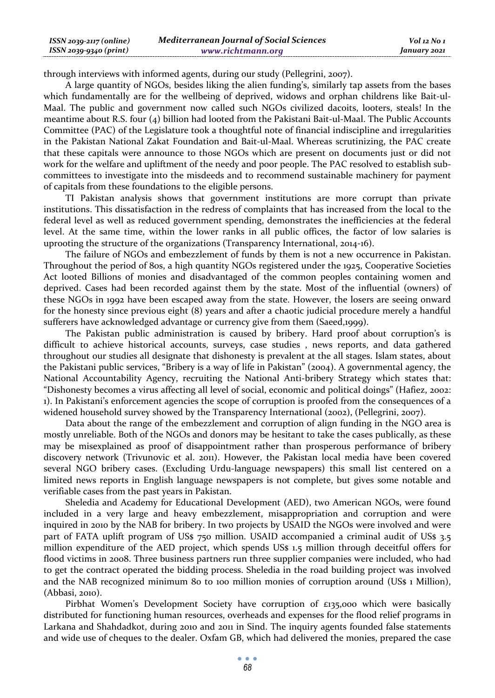| $ISSN 2039-2117 (online)$ | <b>Mediterranean Journal of Social Sciences</b> | Vol 12 No 1  |
|---------------------------|-------------------------------------------------|--------------|
| ISSN 2039-9340 (print)    | www.richtmann.org                               | January 2021 |

through interviews with informed agents, during our study (Pellegrini, 2007).

A large quantity of NGOs, besides liking the alien funding's, similarly tap assets from the bases which fundamentally are for the wellbeing of deprived, widows and orphan childrens like Bait-ul-Maal. The public and government now called such NGOs civilized dacoits, looters, steals! In the meantime about R.S. four (4) billion had looted from the Pakistani Bait-ul-Maal. The Public Accounts Committee (PAC) of the Legislature took a thoughtful note of financial indiscipline and irregularities in the Pakistan National Zakat Foundation and Bait-ul-Maal. Whereas scrutinizing, the PAC create that these capitals were announce to those NGOs which are present on documents just or did not work for the welfare and upliftment of the needy and poor people. The PAC resolved to establish subcommittees to investigate into the misdeeds and to recommend sustainable machinery for payment of capitals from these foundations to the eligible persons.

TI Pakistan analysis shows that government institutions are more corrupt than private institutions. This dissatisfaction in the redress of complaints that has increased from the local to the federal level as well as reduced government spending, demonstrates the inefficiencies at the federal level. At the same time, within the lower ranks in all public offices, the factor of low salaries is uprooting the structure of the organizations (Transparency International, 2014-16).

The failure of NGOs and embezzlement of funds by them is not a new occurrence in Pakistan. Throughout the period of 80s, a high quantity NGOs registered under the 1925, Cooperative Societies Act looted Billions of monies and disadvantaged of the common peoples containing women and deprived. Cases had been recorded against them by the state. Most of the influential (owners) of these NGOs in 1992 have been escaped away from the state. However, the losers are seeing onward for the honesty since previous eight (8) years and after a chaotic judicial procedure merely a handful sufferers have acknowledged advantage or currency give from them (Saeed,1999).

The Pakistan public administration is caused by bribery. Hard proof about corruption's is difficult to achieve historical accounts, surveys, case studies , news reports, and data gathered throughout our studies all designate that dishonesty is prevalent at the all stages. Islam states, about the Pakistani public services, "Bribery is a way of life in Pakistan" (2004). A governmental agency, the National Accountability Agency, recruiting the National Anti-bribery Strategy which states that: "Dishonesty becomes a virus affecting all level of social, economic and political doings" (Hafiez, 2002: 1). In Pakistani's enforcement agencies the scope of corruption is proofed from the consequences of a widened household survey showed by the Transparency International (2002), (Pellegrini, 2007).

Data about the range of the embezzlement and corruption of align funding in the NGO area is mostly unreliable. Both of the NGOs and donors may be hesitant to take the cases publically, as these may be misexplained as proof of disappointment rather than prosperous performance of bribery discovery network (Trivunovic et al. 2011). However, the Pakistan local media have been covered several NGO bribery cases. (Excluding Urdu-language newspapers) this small list centered on a limited news reports in English language newspapers is not complete, but gives some notable and verifiable cases from the past years in Pakistan.

Sheledia and Academy for Educational Development (AED), two American NGOs, were found included in a very large and heavy embezzlement, misappropriation and corruption and were inquired in 2010 by the NAB for bribery. In two projects by USAID the NGOs were involved and were part of FATA uplift program of US\$ 750 million. USAID accompanied a criminal audit of US\$ 3.5 million expenditure of the AED project, which spends US\$ 1.5 million through deceitful offers for flood victims in 2008. Three business partners run three supplier companies were included, who had to get the contract operated the bidding process. Sheledia in the road building project was involved and the NAB recognized minimum 80 to 100 million monies of corruption around (US\$ 1 Million), (Abbasi, 2010).

Pirbhat Women's Development Society have corruption of £135,000 which were basically distributed for functioning human resources, overheads and expenses for the flood relief programs in Larkana and Shahdadkot, during 2010 and 2011 in Sind. The inquiry agents founded false statements and wide use of cheques to the dealer. Oxfam GB, which had delivered the monies, prepared the case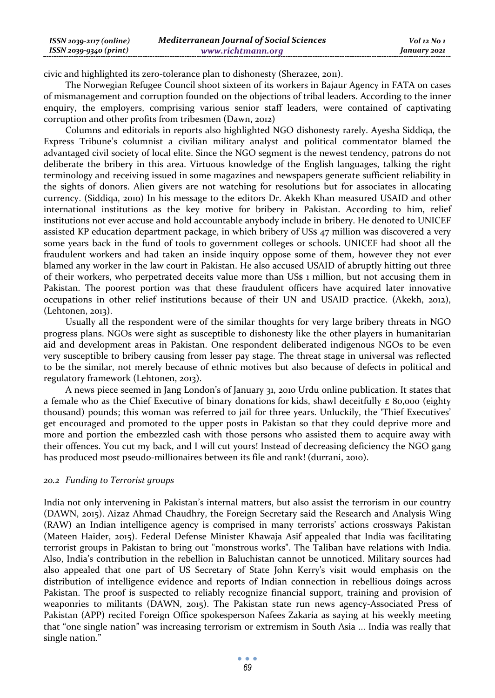| ISSN 2039-2117 (online) | <b>Mediterranean Journal of Social Sciences</b> | Vol 12 No 1  |
|-------------------------|-------------------------------------------------|--------------|
| ISSN 2039-9340 (print)  | www.richtmann.org                               | January 2021 |

civic and highlighted its zero-tolerance plan to dishonesty (Sherazee, 2011).

The Norwegian Refugee Council shoot sixteen of its workers in Bajaur Agency in FATA on cases of mismanagement and corruption founded on the objections of tribal leaders. According to the inner enquiry, the employers, comprising various senior staff leaders, were contained of captivating corruption and other profits from tribesmen (Dawn, 2012)

Columns and editorials in reports also highlighted NGO dishonesty rarely. Ayesha Siddiqa, the Express Tribune's columnist a civilian military analyst and political commentator blamed the advantaged civil society of local elite. Since the NGO segment is the newest tendency, patrons do not deliberate the bribery in this area. Virtuous knowledge of the English languages, talking the right terminology and receiving issued in some magazines and newspapers generate sufficient reliability in the sights of donors. Alien givers are not watching for resolutions but for associates in allocating currency. (Siddiqa, 2010) In his message to the editors Dr. Akekh Khan measured USAID and other international institutions as the key motive for bribery in Pakistan. According to him, relief institutions not ever accuse and hold accountable anybody include in bribery. He denoted to UNICEF assisted KP education department package, in which bribery of US\$ 47 million was discovered a very some years back in the fund of tools to government colleges or schools. UNICEF had shoot all the fraudulent workers and had taken an inside inquiry oppose some of them, however they not ever blamed any worker in the law court in Pakistan. He also accused USAID of abruptly hitting out three of their workers, who perpetrated deceits value more than US\$ 1 million, but not accusing them in Pakistan. The poorest portion was that these fraudulent officers have acquired later innovative occupations in other relief institutions because of their UN and USAID practice. (Akekh, 2012), (Lehtonen, 2013).

Usually all the respondent were of the similar thoughts for very large bribery threats in NGO progress plans. NGOs were sight as susceptible to dishonesty like the other players in humanitarian aid and development areas in Pakistan. One respondent deliberated indigenous NGOs to be even very susceptible to bribery causing from lesser pay stage. The threat stage in universal was reflected to be the similar, not merely because of ethnic motives but also because of defects in political and regulatory framework (Lehtonen, 2013).

A news piece seemed in Jang London's of January 31, 2010 Urdu online publication. It states that a female who as the Chief Executive of binary donations for kids, shawl deceitfully  $\epsilon$  80,000 (eighty thousand) pounds; this woman was referred to jail for three years. Unluckily, the 'Thief Executives' get encouraged and promoted to the upper posts in Pakistan so that they could deprive more and more and portion the embezzled cash with those persons who assisted them to acquire away with their offences. You cut my back, and I will cut yours! Instead of decreasing deficiency the NGO gang has produced most pseudo-millionaires between its file and rank! (durrani, 2010).

#### *20.2 Funding to Terrorist groups*

India not only intervening in Pakistan's internal matters, but also assist the terrorism in our country (DAWN, 2015). Aizaz Ahmad Chaudhry, the Foreign Secretary said the Research and Analysis Wing (RAW) an Indian intelligence agency is comprised in many terrorists' actions crossways Pakistan (Mateen Haider, 2015). Federal Defense Minister Khawaja Asif appealed that India was facilitating terrorist groups in Pakistan to bring out "monstrous works". The Taliban have relations with India. Also, India's contribution in the rebellion in Baluchistan cannot be unnoticed. Military sources had also appealed that one part of US Secretary of State John Kerry's visit would emphasis on the distribution of intelligence evidence and reports of Indian connection in rebellious doings across Pakistan. The proof is suspected to reliably recognize financial support, training and provision of weaponries to militants (DAWN, 2015). The Pakistan state run news agency-Associated Press of Pakistan (APP) recited Foreign Office spokesperson Nafees Zakaria as saying at his weekly meeting that "one single nation" was increasing terrorism or extremism in South Asia ... India was really that single nation."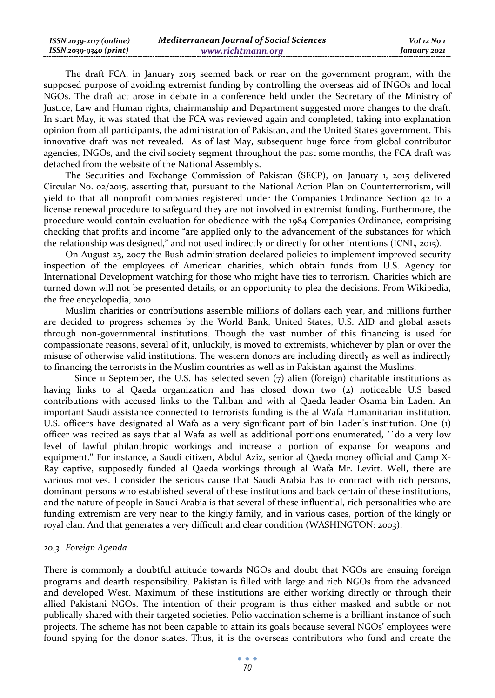| ISSN 2039-2117 (online) | <b>Mediterranean Journal of Social Sciences</b> | $Vol$ 12 No 1 |
|-------------------------|-------------------------------------------------|---------------|
| ISSN 2039-9340 (print)  | www.richtmann.org                               | January 2021  |

The draft FCA, in January 2015 seemed back or rear on the government program, with the supposed purpose of avoiding extremist funding by controlling the overseas aid of INGOs and local NGOs. The draft act arose in debate in a conference held under the Secretary of the Ministry of Justice, Law and Human rights, chairmanship and Department suggested more changes to the draft. In start May, it was stated that the FCA was reviewed again and completed, taking into explanation opinion from all participants, the administration of Pakistan, and the United States government. This innovative draft was not revealed. As of last May, subsequent huge force from global contributor agencies, INGOs, and the civil society segment throughout the past some months, the FCA draft was detached from the website of the National Assembly's.

The Securities and Exchange Commission of Pakistan (SECP), on January 1, 2015 delivered Circular No. 02/2015, asserting that, pursuant to the National Action Plan on Counterterrorism, will yield to that all nonprofit companies registered under the Companies Ordinance Section 42 to a license renewal procedure to safeguard they are not involved in extremist funding. Furthermore, the procedure would contain evaluation for obedience with the 1984 Companies Ordinance, comprising checking that profits and income "are applied only to the advancement of the substances for which the relationship was designed," and not used indirectly or directly for other intentions (ICNL, 2015).

On August 23, 2007 the Bush administration declared policies to implement improved security inspection of the employees of American charities, which obtain funds from U.S. Agency for International Development watching for those who might have ties to terrorism. Charities which are turned down will not be presented details, or an opportunity to plea the decisions. From Wikipedia, the free encyclopedia, 2010

Muslim charities or contributions assemble millions of dollars each year, and millions further are decided to progress schemes by the World Bank, United States, U.S. AID and global assets through non-governmental institutions. Though the vast number of this financing is used for compassionate reasons, several of it, unluckily, is moved to extremists, whichever by plan or over the misuse of otherwise valid institutions. The western donors are including directly as well as indirectly to financing the terrorists in the Muslim countries as well as in Pakistan against the Muslims.

Since 11 September, the U.S. has selected seven  $(7)$  alien (foreign) charitable institutions as having links to al Qaeda organization and has closed down two (2) noticeable U.S based contributions with accused links to the Taliban and with al Qaeda leader Osama bin Laden. An important Saudi assistance connected to terrorists funding is the al Wafa Humanitarian institution. U.S. officers have designated al Wafa as a very significant part of bin Laden's institution. One (1) officer was recited as says that al Wafa as well as additional portions enumerated, ``do a very low level of lawful philanthropic workings and increase a portion of expanse for weapons and equipment.'' For instance, a Saudi citizen, Abdul Aziz, senior al Qaeda money official and Camp X-Ray captive, supposedly funded al Qaeda workings through al Wafa Mr. Levitt. Well, there are various motives. I consider the serious cause that Saudi Arabia has to contract with rich persons, dominant persons who established several of these institutions and back certain of these institutions, and the nature of people in Saudi Arabia is that several of these influential, rich personalities who are funding extremism are very near to the kingly family, and in various cases, portion of the kingly or royal clan. And that generates a very difficult and clear condition (WASHINGTON: 2003).

### *20.3 Foreign Agenda*

There is commonly a doubtful attitude towards NGOs and doubt that NGOs are ensuing foreign programs and dearth responsibility. Pakistan is filled with large and rich NGOs from the advanced and developed West. Maximum of these institutions are either working directly or through their allied Pakistani NGOs. The intention of their program is thus either masked and subtle or not publically shared with their targeted societies. Polio vaccination scheme is a brilliant instance of such projects. The scheme has not been capable to attain its goals because several NGOs' employees were found spying for the donor states. Thus, it is the overseas contributors who fund and create the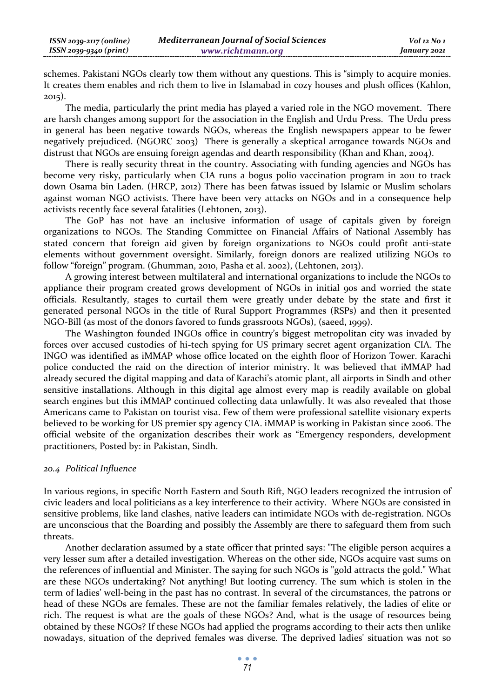schemes. Pakistani NGOs clearly tow them without any questions. This is "simply to acquire monies. It creates them enables and rich them to live in Islamabad in cozy houses and plush offices (Kahlon, 2015).

The media, particularly the print media has played a varied role in the NGO movement. There are harsh changes among support for the association in the English and Urdu Press. The Urdu press in general has been negative towards NGOs, whereas the English newspapers appear to be fewer negatively prejudiced. (NGORC 2003) There is generally a skeptical arrogance towards NGOs and distrust that NGOs are ensuing foreign agendas and dearth responsibility (Khan and Khan, 2004).

There is really security threat in the country. Associating with funding agencies and NGOs has become very risky, particularly when CIA runs a bogus polio vaccination program in 2011 to track down Osama bin Laden. (HRCP, 2012) There has been fatwas issued by Islamic or Muslim scholars against woman NGO activists. There have been very attacks on NGOs and in a consequence help activists recently face several fatalities (Lehtonen, 2013).

The GoP has not have an inclusive information of usage of capitals given by foreign organizations to NGOs. The Standing Committee on Financial Affairs of National Assembly has stated concern that foreign aid given by foreign organizations to NGOs could profit anti-state elements without government oversight. Similarly, foreign donors are realized utilizing NGOs to follow "foreign" program. (Ghumman, 2010, Pasha et al. 2002), (Lehtonen, 2013).

A growing interest between multilateral and international organizations to include the NGOs to appliance their program created grows development of NGOs in initial 90s and worried the state officials. Resultantly, stages to curtail them were greatly under debate by the state and first it generated personal NGOs in the title of Rural Support Programmes (RSPs) and then it presented NGO-Bill (as most of the donors favored to funds grassroots NGOs), (saeed, 1999).

The Washington founded INGOs office in country's biggest metropolitan city was invaded by forces over accused custodies of hi-tech spying for US primary secret agent organization CIA. The INGO was identified as iMMAP whose office located on the eighth floor of Horizon Tower. Karachi police conducted the raid on the direction of interior ministry. It was believed that iMMAP had already secured the digital mapping and data of Karachi's atomic plant, all airports in Sindh and other sensitive installations. Although in this digital age almost every map is readily available on global search engines but this iMMAP continued collecting data unlawfully. It was also revealed that those Americans came to Pakistan on tourist visa. Few of them were professional satellite visionary experts believed to be working for US premier spy agency CIA. iMMAP is working in Pakistan since 2006. The official website of the organization describes their work as "Emergency responders, development practitioners, Posted by: in Pakistan, Sindh.

# *20.4 Political Influence*

In various regions, in specific North Eastern and South Rift, NGO leaders recognized the intrusion of civic leaders and local politicians as a key interference to their activity. Where NGOs are consisted in sensitive problems, like land clashes, native leaders can intimidate NGOs with de-registration. NGOs are unconscious that the Boarding and possibly the Assembly are there to safeguard them from such threats.

Another declaration assumed by a state officer that printed says: "The eligible person acquires a very lesser sum after a detailed investigation. Whereas on the other side, NGOs acquire vast sums on the references of influential and Minister. The saying for such NGOs is "gold attracts the gold." What are these NGOs undertaking? Not anything! But looting currency. The sum which is stolen in the term of ladies' well-being in the past has no contrast. In several of the circumstances, the patrons or head of these NGOs are females. These are not the familiar females relatively, the ladies of elite or rich. The request is what are the goals of these NGOs? And, what is the usage of resources being obtained by these NGOs? If these NGOs had applied the programs according to their acts then unlike nowadays, situation of the deprived females was diverse. The deprived ladies' situation was not so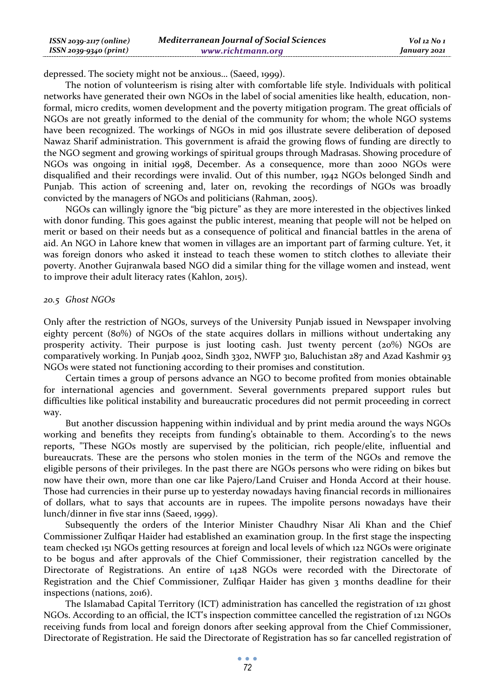| ISSN 2039-2117 (online) | Mediterranean Journal of Social Sciences | Vol 12 No 1  |
|-------------------------|------------------------------------------|--------------|
| ISSN 2039-9340 (print)  | www.richtmann.org                        | January 2021 |

depressed. The society might not be anxious… (Saeed, 1999).

The notion of volunteerism is rising alter with comfortable life style. Individuals with political networks have generated their own NGOs in the label of social amenities like health, education, nonformal, micro credits, women development and the poverty mitigation program. The great officials of NGOs are not greatly informed to the denial of the community for whom; the whole NGO systems have been recognized. The workings of NGOs in mid 90s illustrate severe deliberation of deposed Nawaz Sharif administration. This government is afraid the growing flows of funding are directly to the NGO segment and growing workings of spiritual groups through Madrasas. Showing procedure of NGOs was ongoing in initial 1998, December. As a consequence, more than 2000 NGOs were disqualified and their recordings were invalid. Out of this number, 1942 NGOs belonged Sindh and Punjab. This action of screening and, later on, revoking the recordings of NGOs was broadly convicted by the managers of NGOs and politicians (Rahman, 2005).

NGOs can willingly ignore the "big picture" as they are more interested in the objectives linked with donor funding. This goes against the public interest, meaning that people will not be helped on merit or based on their needs but as a consequence of political and financial battles in the arena of aid. An NGO in Lahore knew that women in villages are an important part of farming culture. Yet, it was foreign donors who asked it instead to teach these women to stitch clothes to alleviate their poverty. Another Gujranwala based NGO did a similar thing for the village women and instead, went to improve their adult literacy rates (Kahlon, 2015).

#### *20.5 Ghost NGOs*

Only after the restriction of NGOs, surveys of the University Punjab issued in Newspaper involving eighty percent (80%) of NGOs of the state acquires dollars in millions without undertaking any prosperity activity. Their purpose is just looting cash. Just twenty percent (20%) NGOs are comparatively working. In Punjab 4002, Sindh 3302, NWFP 310, Baluchistan 287 and Azad Kashmir 93 NGOs were stated not functioning according to their promises and constitution.

Certain times a group of persons advance an NGO to become profited from monies obtainable for international agencies and government. Several governments prepared support rules but difficulties like political instability and bureaucratic procedures did not permit proceeding in correct way.

But another discussion happening within individual and by print media around the ways NGOs working and benefits they receipts from funding's obtainable to them. According's to the news reports, "These NGOs mostly are supervised by the politician, rich people/elite, influential and bureaucrats. These are the persons who stolen monies in the term of the NGOs and remove the eligible persons of their privileges. In the past there are NGOs persons who were riding on bikes but now have their own, more than one car like Pajero/Land Cruiser and Honda Accord at their house. Those had currencies in their purse up to yesterday nowadays having financial records in millionaires of dollars, what to says that accounts are in rupees. The impolite persons nowadays have their lunch/dinner in five star inns (Saeed, 1999).

Subsequently the orders of the Interior Minister Chaudhry Nisar Ali Khan and the Chief Commissioner Zulfiqar Haider had established an examination group. In the first stage the inspecting team checked 151 NGOs getting resources at foreign and local levels of which 122 NGOs were originate to be bogus and after approvals of the Chief Commissioner, their registration cancelled by the Directorate of Registrations. An entire of 1428 NGOs were recorded with the Directorate of Registration and the Chief Commissioner, Zulfiqar Haider has given 3 months deadline for their inspections (nations, 2016).

The Islamabad Capital Territory (ICT) administration has cancelled the registration of 121 ghost NGOs. According to an official, the ICT's inspection committee cancelled the registration of 121 NGOs receiving funds from local and foreign donors after seeking approval from the Chief Commissioner, Directorate of Registration. He said the Directorate of Registration has so far cancelled registration of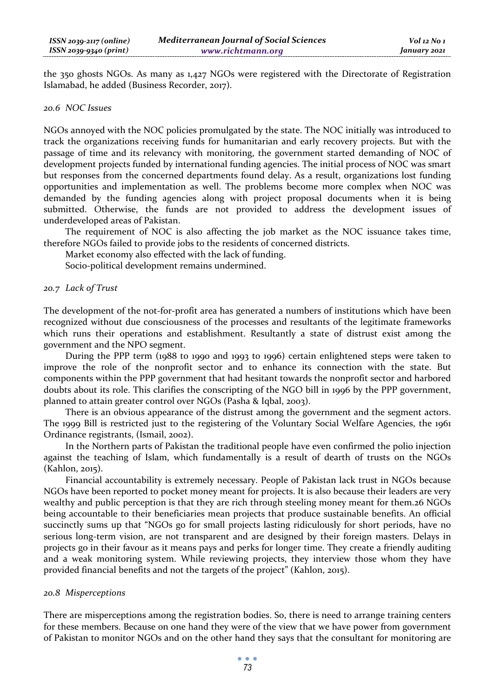the 350 ghosts NGOs. As many as 1,427 NGOs were registered with the Directorate of Registration Islamabad, he added (Business Recorder, 2017).

#### *20.6 NOC Issues*

NGOs annoyed with the NOC policies promulgated by the state. The NOC initially was introduced to track the organizations receiving funds for humanitarian and early recovery projects. But with the passage of time and its relevancy with monitoring, the government started demanding of NOC of development projects funded by international funding agencies. The initial process of NOC was smart but responses from the concerned departments found delay. As a result, organizations lost funding opportunities and implementation as well. The problems become more complex when NOC was demanded by the funding agencies along with project proposal documents when it is being submitted. Otherwise, the funds are not provided to address the development issues of underdeveloped areas of Pakistan.

The requirement of NOC is also affecting the job market as the NOC issuance takes time, therefore NGOs failed to provide jobs to the residents of concerned districts.

Market economy also effected with the lack of funding.

Socio-political development remains undermined.

#### *20.7 Lack of Trust*

The development of the not-for-profit area has generated a numbers of institutions which have been recognized without due consciousness of the processes and resultants of the legitimate frameworks which runs their operations and establishment. Resultantly a state of distrust exist among the government and the NPO segment.

During the PPP term (1988 to 1990 and 1993 to 1996) certain enlightened steps were taken to improve the role of the nonprofit sector and to enhance its connection with the state. But components within the PPP government that had hesitant towards the nonprofit sector and harbored doubts about its role. This clarifies the conscripting of the NGO bill in 1996 by the PPP government, planned to attain greater control over NGOs (Pasha & Iqbal, 2003).

There is an obvious appearance of the distrust among the government and the segment actors. The 1999 Bill is restricted just to the registering of the Voluntary Social Welfare Agencies, the 1961 Ordinance registrants, (Ismail, 2002).

In the Northern parts of Pakistan the traditional people have even confirmed the polio injection against the teaching of Islam, which fundamentally is a result of dearth of trusts on the NGOs (Kahlon, 2015).

Financial accountability is extremely necessary. People of Pakistan lack trust in NGOs because NGOs have been reported to pocket money meant for projects. It is also because their leaders are very wealthy and public perception is that they are rich through steeling money meant for them.26 NGOs being accountable to their beneficiaries mean projects that produce sustainable benefits. An official succinctly sums up that "NGOs go for small projects lasting ridiculously for short periods, have no serious long-term vision, are not transparent and are designed by their foreign masters. Delays in projects go in their favour as it means pays and perks for longer time. They create a friendly auditing and a weak monitoring system. While reviewing projects, they interview those whom they have provided financial benefits and not the targets of the project" (Kahlon, 2015).

#### *20.8 Misperceptions*

There are misperceptions among the registration bodies. So, there is need to arrange training centers for these members. Because on one hand they were of the view that we have power from government of Pakistan to monitor NGOs and on the other hand they says that the consultant for monitoring are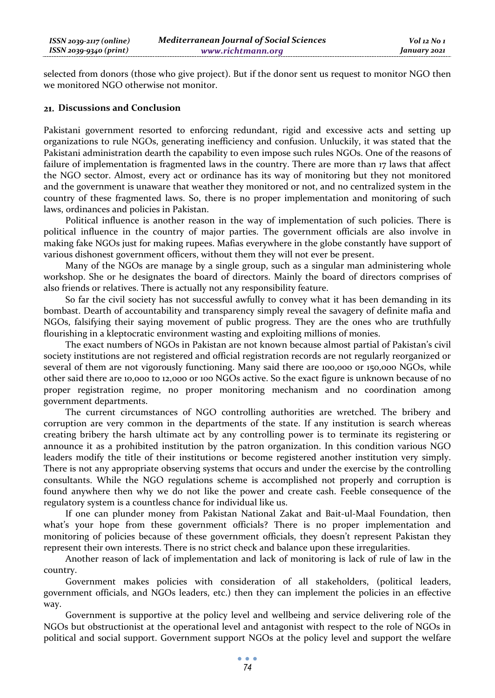selected from donors (those who give project). But if the donor sent us request to monitor NGO then we monitored NGO otherwise not monitor.

### **Discussions and Conclusion**

Pakistani government resorted to enforcing redundant, rigid and excessive acts and setting up organizations to rule NGOs, generating inefficiency and confusion. Unluckily, it was stated that the Pakistani administration dearth the capability to even impose such rules NGOs. One of the reasons of failure of implementation is fragmented laws in the country. There are more than 17 laws that affect the NGO sector. Almost, every act or ordinance has its way of monitoring but they not monitored and the government is unaware that weather they monitored or not, and no centralized system in the country of these fragmented laws. So, there is no proper implementation and monitoring of such laws, ordinances and policies in Pakistan.

Political influence is another reason in the way of implementation of such policies. There is political influence in the country of major parties. The government officials are also involve in making fake NGOs just for making rupees. Mafias everywhere in the globe constantly have support of various dishonest government officers, without them they will not ever be present.

Many of the NGOs are manage by a single group, such as a singular man administering whole workshop. She or he designates the board of directors. Mainly the board of directors comprises of also friends or relatives. There is actually not any responsibility feature.

So far the civil society has not successful awfully to convey what it has been demanding in its bombast. Dearth of accountability and transparency simply reveal the savagery of definite mafia and NGOs, falsifying their saying movement of public progress. They are the ones who are truthfully flourishing in a kleptocratic environment wasting and exploiting millions of monies.

The exact numbers of NGOs in Pakistan are not known because almost partial of Pakistan's civil society institutions are not registered and official registration records are not regularly reorganized or several of them are not vigorously functioning. Many said there are 100,000 or 150,000 NGOs, while other said there are 10,000 to 12,000 or 100 NGOs active. So the exact figure is unknown because of no proper registration regime, no proper monitoring mechanism and no coordination among government departments.

The current circumstances of NGO controlling authorities are wretched. The bribery and corruption are very common in the departments of the state. If any institution is search whereas creating bribery the harsh ultimate act by any controlling power is to terminate its registering or announce it as a prohibited institution by the patron organization. In this condition various NGO leaders modify the title of their institutions or become registered another institution very simply. There is not any appropriate observing systems that occurs and under the exercise by the controlling consultants. While the NGO regulations scheme is accomplished not properly and corruption is found anywhere then why we do not like the power and create cash. Feeble consequence of the regulatory system is a countless chance for individual like us.

If one can plunder money from Pakistan National Zakat and Bait-ul-Maal Foundation, then what's your hope from these government officials? There is no proper implementation and monitoring of policies because of these government officials, they doesn't represent Pakistan they represent their own interests. There is no strict check and balance upon these irregularities.

Another reason of lack of implementation and lack of monitoring is lack of rule of law in the country.

Government makes policies with consideration of all stakeholders, (political leaders, government officials, and NGOs leaders, etc.) then they can implement the policies in an effective way.

Government is supportive at the policy level and wellbeing and service delivering role of the NGOs but obstructionist at the operational level and antagonist with respect to the role of NGOs in political and social support. Government support NGOs at the policy level and support the welfare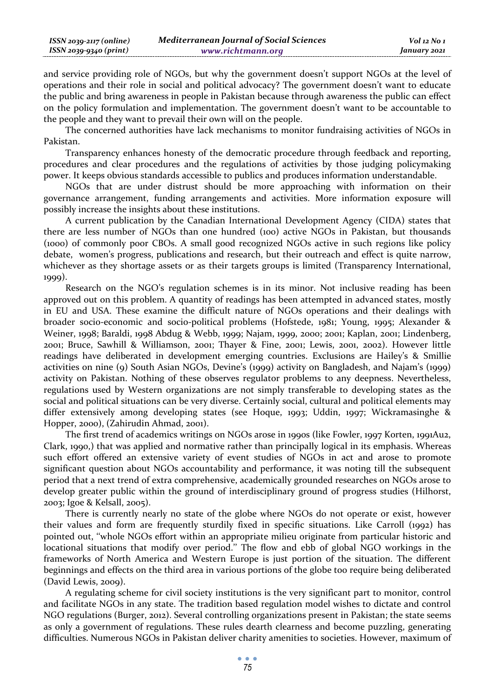and service providing role of NGOs, but why the government doesn't support NGOs at the level of operations and their role in social and political advocacy? The government doesn't want to educate the public and bring awareness in people in Pakistan because through awareness the public can effect on the policy formulation and implementation. The government doesn't want to be accountable to the people and they want to prevail their own will on the people.

The concerned authorities have lack mechanisms to monitor fundraising activities of NGOs in Pakistan.

Transparency enhances honesty of the democratic procedure through feedback and reporting, procedures and clear procedures and the regulations of activities by those judging policymaking power. It keeps obvious standards accessible to publics and produces information understandable.

NGOs that are under distrust should be more approaching with information on their governance arrangement, funding arrangements and activities. More information exposure will possibly increase the insights about these institutions.

A current publication by the Canadian International Development Agency (CIDA) states that there are less number of NGOs than one hundred (100) active NGOs in Pakistan, but thousands (1000) of commonly poor CBOs. A small good recognized NGOs active in such regions like policy debate, women's progress, publications and research, but their outreach and effect is quite narrow, whichever as they shortage assets or as their targets groups is limited (Transparency International, 1999).

Research on the NGO's regulation schemes is in its minor. Not inclusive reading has been approved out on this problem. A quantity of readings has been attempted in advanced states, mostly in EU and USA. These examine the difficult nature of NGOs operations and their dealings with broader socio-economic and socio-political problems (Hofstede, 1981; Young, 1995; Alexander & Weiner, 1998; Baraldi, 1998 Abdug & Webb, 1999; Najam, 1999, 2000; 2001; Kaplan, 2001; Lindenberg, 2001; Bruce, Sawhill & Williamson, 2001; Thayer & Fine, 2001; Lewis, 2001, 2002). However little readings have deliberated in development emerging countries. Exclusions are Hailey's & Smillie activities on nine (9) South Asian NGOs, Devine's (1999) activity on Bangladesh, and Najam's (1999) activity on Pakistan. Nothing of these observes regulator problems to any deepness. Nevertheless, regulations used by Western organizations are not simply transferable to developing states as the social and political situations can be very diverse. Certainly social, cultural and political elements may differ extensively among developing states (see Hoque, 1993; Uddin, 1997; Wickramasinghe & Hopper, 2000), (Zahirudin Ahmad, 2001).

The first trend of academics writings on NGOs arose in 1990s (like Fowler, 1997 Korten, 1991Au2, Clark, 1990,) that was applied and normative rather than principally logical in its emphasis. Whereas such effort offered an extensive variety of event studies of NGOs in act and arose to promote significant question about NGOs accountability and performance, it was noting till the subsequent period that a next trend of extra comprehensive, academically grounded researches on NGOs arose to develop greater public within the ground of interdisciplinary ground of progress studies (Hilhorst, 2003; Igoe & Kelsall, 2005).

There is currently nearly no state of the globe where NGOs do not operate or exist, however their values and form are frequently sturdily fixed in specific situations. Like Carroll (1992) has pointed out, ''whole NGOs effort within an appropriate milieu originate from particular historic and locational situations that modify over period.'' The flow and ebb of global NGO workings in the frameworks of North America and Western Europe is just portion of the situation. The different beginnings and effects on the third area in various portions of the globe too require being deliberated (David Lewis, 2009).

A regulating scheme for civil society institutions is the very significant part to monitor, control and facilitate NGOs in any state. The tradition based regulation model wishes to dictate and control NGO regulations (Burger, 2012). Several controlling organizations present in Pakistan; the state seems as only a government of regulations. These rules dearth clearness and become puzzling, generating difficulties. Numerous NGOs in Pakistan deliver charity amenities to societies. However, maximum of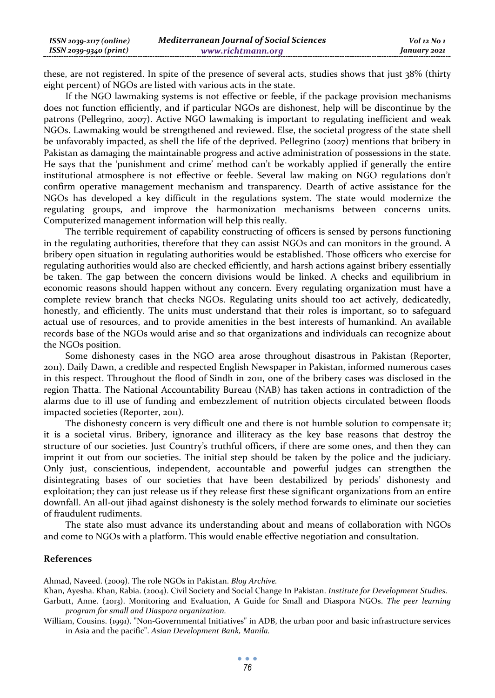| $ISSN 2039-2117 (online)$ | <b>Mediterranean Journal of Social Sciences</b> | Vol 12 No 1  |
|---------------------------|-------------------------------------------------|--------------|
| ISSN 2039-9340 (print)    | www.richtmann.org                               | January 2021 |

these, are not registered. In spite of the presence of several acts, studies shows that just 38% (thirty eight percent) of NGOs are listed with various acts in the state.

If the NGO lawmaking systems is not effective or feeble, if the package provision mechanisms does not function efficiently, and if particular NGOs are dishonest, help will be discontinue by the patrons (Pellegrino, 2007). Active NGO lawmaking is important to regulating inefficient and weak NGOs. Lawmaking would be strengthened and reviewed. Else, the societal progress of the state shell be unfavorably impacted, as shell the life of the deprived. Pellegrino (2007) mentions that bribery in Pakistan as damaging the maintainable progress and active administration of possessions in the state. He says that the 'punishment and crime' method can't be workably applied if generally the entire institutional atmosphere is not effective or feeble. Several law making on NGO regulations don't confirm operative management mechanism and transparency. Dearth of active assistance for the NGOs has developed a key difficult in the regulations system. The state would modernize the regulating groups, and improve the harmonization mechanisms between concerns units. Computerized management information will help this really.

The terrible requirement of capability constructing of officers is sensed by persons functioning in the regulating authorities, therefore that they can assist NGOs and can monitors in the ground. A bribery open situation in regulating authorities would be established. Those officers who exercise for regulating authorities would also are checked efficiently, and harsh actions against bribery essentially be taken. The gap between the concern divisions would be linked. A checks and equilibrium in economic reasons should happen without any concern. Every regulating organization must have a complete review branch that checks NGOs. Regulating units should too act actively, dedicatedly, honestly, and efficiently. The units must understand that their roles is important, so to safeguard actual use of resources, and to provide amenities in the best interests of humankind. An available records base of the NGOs would arise and so that organizations and individuals can recognize about the NGOs position.

Some dishonesty cases in the NGO area arose throughout disastrous in Pakistan (Reporter, 2011). Daily Dawn, a credible and respected English Newspaper in Pakistan, informed numerous cases in this respect. Throughout the flood of Sindh in 2011, one of the bribery cases was disclosed in the region Thatta. The National Accountability Bureau (NAB) has taken actions in contradiction of the alarms due to ill use of funding and embezzlement of nutrition objects circulated between floods impacted societies (Reporter, 2011).

The dishonesty concern is very difficult one and there is not humble solution to compensate it; it is a societal virus. Bribery, ignorance and illiteracy as the key base reasons that destroy the structure of our societies. Just Country's truthful officers, if there are some ones, and then they can imprint it out from our societies. The initial step should be taken by the police and the judiciary. Only just, conscientious, independent, accountable and powerful judges can strengthen the disintegrating bases of our societies that have been destabilized by periods' dishonesty and exploitation; they can just release us if they release first these significant organizations from an entire downfall. An all-out jihad against dishonesty is the solely method forwards to eliminate our societies of fraudulent rudiments.

The state also must advance its understanding about and means of collaboration with NGOs and come to NGOs with a platform. This would enable effective negotiation and consultation.

#### **References**

Ahmad, Naveed. (2009). The role NGOs in Pakistan. *Blog Archive.*

Khan, Ayesha. Khan, Rabia. (2004). Civil Society and Social Change In Pakistan. *Institute for Development Studies.* 

Garbutt, Anne. (2013). Monitoring and Evaluation, A Guide for Small and Diaspora NGOs. *The peer learning program for small and Diaspora organization.* 

William, Cousins. (1991). "Non-Governmental Initiatives" in ADB, the urban poor and basic infrastructure services in Asia and the pacific". *Asian Development Bank, Manila.*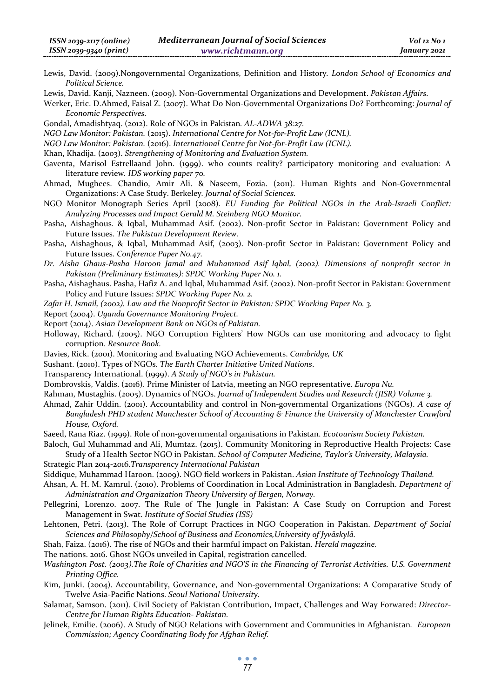Lewis, David. (2009).Nongovernmental Organizations, Definition and History*. London School of Economics and Political Science.* 

Lewis, David. Kanji, Nazneen. (2009). Non-Governmental Organizations and Development. *Pakistan Affairs.*

Werker, Eric. D.Ahmed, Faisal Z. (2007). What Do Non-Governmental Organizations Do? Forthcoming: *Journal of Economic Perspectives.* 

Gondal, Amadishtyaq. (2012). Role of NGOs in Pakistan*. AL-ADWA 38:27.* 

*NGO Law Monitor: Pakistan.* (2015). *International Centre for Not-for-Profit Law (ICNL).* 

*NGO Law Monitor: Pakistan.* (2016). *International Centre for Not-for-Profit Law (ICNL).*

Khan, Khadija. (2003). *Strengthening of Monitoring and Evaluation System.* 

- Gaventa, Marisol Estrellaand John. (1999). who counts reality? participatory monitoring and evaluation: A literature review*. IDS working paper 70.*
- Ahmad, Mughees. Chandio, Amir Ali. & Naseem, Fozia. (2011). Human Rights and Non-Governmental Organizations: A Case Study. Berkeley*. Journal of Social Sciences.*
- NGO Monitor Monograph Series April (2008). *EU Funding for Political NGOs in the Arab-Israeli Conflict: Analyzing Processes and Impact Gerald M. Steinberg NGO Monitor.*
- Pasha, Aishaghous. & Iqbal, Muhammad Asif. (2002). Non-profit Sector in Pakistan: Government Policy and Future Issues. *The Pakistan Development Review.*

Pasha, Aishaghous, & Iqbal, Muhammad Asif, (2003). Non-profit Sector in Pakistan: Government Policy and Future Issues. *Conference Paper No.47.* 

*Dr. Aisha Ghaus-Pasha Haroon Jamal and Muhammad Asif Iqbal, (2002). Dimensions of nonprofit sector in Pakistan (Preliminary Estimates): SPDC Working Paper No. 1.*

Pasha, Aishaghaus. Pasha, Hafiz A. and Iqbal, Muhammad Asif. (2002). Non-profit Sector in Pakistan: Government Policy and Future Issues: *SPDC Working Paper No. 2.* 

*Zafar H. Ismail, (2002). Law and the Nonprofit Sector in Pakistan: SPDC Working Paper No. 3.*

Report (2004). *Uganda Governance Monitoring Project.* 

Report (2014). *Asian Development Bank on NGOs of Pakistan.* 

- Holloway, Richard. (2005). NGO Corruption Fighters' How NGOs can use monitoring and advocacy to fight corruption. *Resource Book.*
- Davies, Rick. (2001). Monitoring and Evaluating NGO Achievements. *Cambridge, UK*

Sushant. (2010). Types of NGOs. *The Earth Charter Initiative United Nations*.

Transparency International. (1999). *A Study of NGO's in Pakistan.* 

Dombrovskis, Valdis. (2016). Prime Minister of Latvia, meeting an NGO representative. *Europa Nu.* 

Rahman, Mustaghis. (2005). Dynamics of NGOs. *Journal of Independent Studies and Research (JISR) Volume 3.* 

- Ahmad, Zahir Uddin. (2001). Accountability and control in Non-governmental Organizations (NGOs). *A case of Bangladesh PHD student Manchester School of Accounting & Finance the University of Manchester Crawford House, Oxford.*
- Saeed, Rana Riaz. (1999). Role of non-governmental organisations in Pakistan. *Ecotourism Society Pakistan.*
- Baloch, Gul Muhammad and Ali, Mumtaz. (2015). Community Monitoring in Reproductive Health Projects: Case Study of a Health Sector NGO in Pakistan. *School of Computer Medicine, Taylor's University, Malaysia.*
- Strategic Plan 2014-2016.*Transparency International Pakistan*

Siddique, Muhammad Haroon. (2009). NGO field workers in Pakistan. *Asian Institute of Technology Thailand.* 

- Ahsan, A. H. M. Kamrul. (2010). Problems of Coordination in Local Administration in Bangladesh. *Department of Administration and Organization Theory University of Bergen, Norway.*
- Pellegrini, Lorenzo. 2007. The Rule of The Jungle in Pakistan: A Case Study on Corruption and Forest Management in Swat. *Institute of Social Studies (ISS)*
- Lehtonen, Petri. (2013). The Role of Corrupt Practices in NGO Cooperation in Pakistan. *Department of Social Sciences and Philosophy/School of Business and Economics,University of Jyväskylä.*
- Shah, Faiza. (2016). The rise of NGOs and their harmful impact on Pakistan. *Herald magazine.*
- The nations. 2016. Ghost NGOs unveiled in Capital, registration cancelled.
- *Washington Post. (2003).The Role of Charities and NGO'S in the Financing of Terrorist Activities. U.S. Government Printing Office.*
- Kim, Junki. (2004). Accountability, Governance, and Non-governmental Organizations: A Comparative Study of Twelve Asia-Pacific Nations. *Seoul National University.*
- Salamat, Samson. (2011). Civil Society of Pakistan Contribution, Impact, Challenges and Way Forwared: *Director-Centre for Human Rights Education- Pakistan.*
- Jelinek, Emilie. (2006). A Study of NGO Relations with Government and Communities in Afghanistan*. European Commission; Agency Coordinating Body for Afghan Relief.*